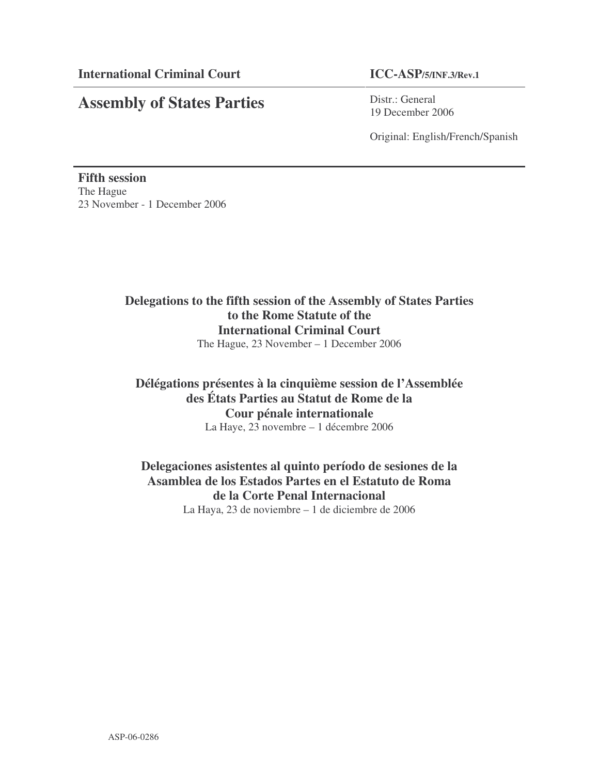# **Assembly of States Parties**

Distr.: General 19 December 2006

Original: English/French/Spanish

**Fifth session** The Hague 23 November - 1 December 2006

# **Delegations to the fifth session of the Assembly of States Parties to the Rome Statute of the International Criminal Court** The Hague, 23 November – 1 December 2006

# **Délégations présentes à la cinquième session de l'Assemblée des États Parties au Statut de Rome de la Cour pénale internationale** La Haye, 23 novembre – 1 décembre 2006

# **Delegaciones asistentes al quinto período de sesiones de la Asamblea de los Estados Partes en el Estatuto de Roma de la Corte Penal Internacional** La Haya, 23 de noviembre – 1 de diciembre de 2006

ASP-06-0286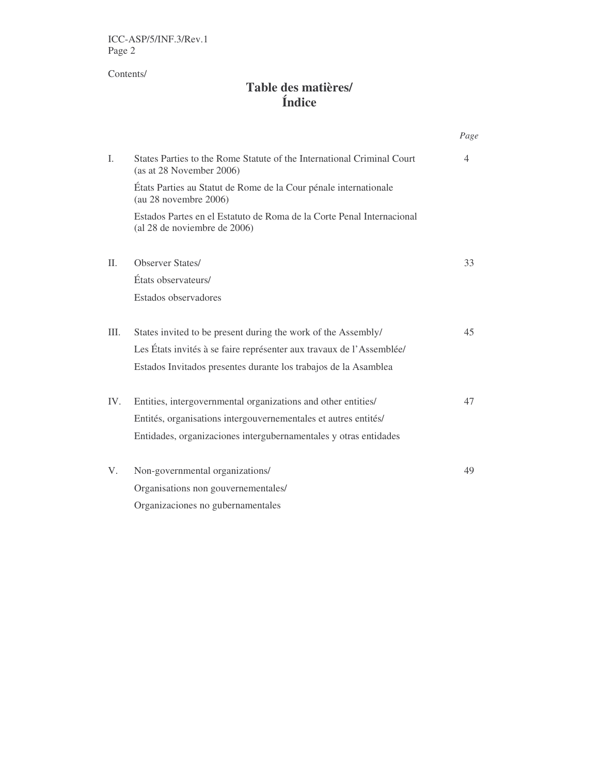ICC-ASP/5/INF.3/Rev.1 Page 2

Contents/

# **Table des matières/ Índice**

|                |                                                                                                       | Page |
|----------------|-------------------------------------------------------------------------------------------------------|------|
| $\mathbf{I}$ . | States Parties to the Rome Statute of the International Criminal Court<br>(as at 28 November 2006)    | 4    |
|                | États Parties au Statut de Rome de la Cour pénale internationale<br>(au 28 novembre 2006)             |      |
|                | Estados Partes en el Estatuto de Roma de la Corte Penal Internacional<br>(al 28 de noviembre de 2006) |      |
| II.            | <b>Observer States/</b>                                                                               | 33   |
|                | États observateurs/                                                                                   |      |
|                | Estados observadores                                                                                  |      |
| III.           | States invited to be present during the work of the Assembly/                                         | 45   |
|                | Les États invités à se faire représenter aux travaux de l'Assemblée/                                  |      |
|                | Estados Invitados presentes durante los trabajos de la Asamblea                                       |      |
| IV.            | Entities, intergovernmental organizations and other entities/                                         | 47   |
|                | Entités, organisations intergouvernementales et autres entités/                                       |      |
|                | Entidades, organizaciones intergubernamentales y otras entidades                                      |      |
| V.             | Non-governmental organizations/                                                                       | 49   |
|                | Organisations non gouvernementales/                                                                   |      |
|                | Organizaciones no gubernamentales                                                                     |      |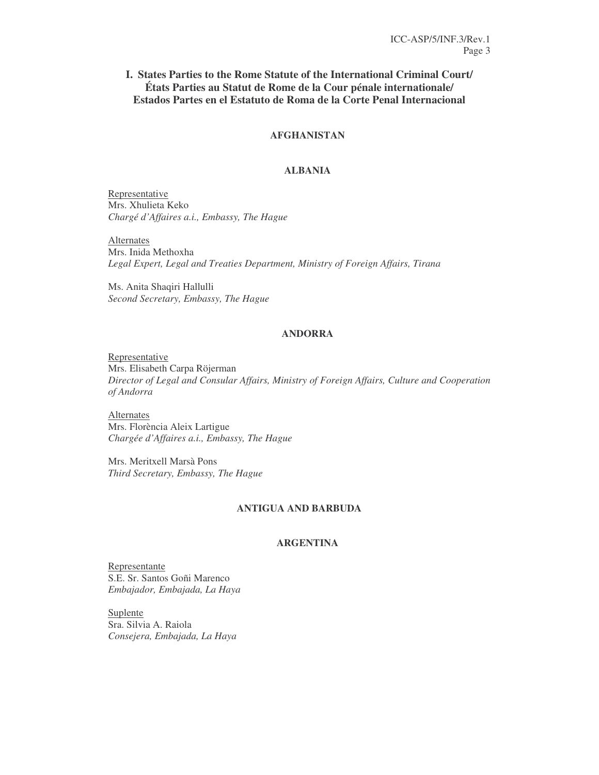# **I. States Parties to the Rome Statute of the International Criminal Court/ États Parties au Statut de Rome de la Cour pénale internationale/ Estados Partes en el Estatuto de Roma de la Corte Penal Internacional**

# **AFGHANISTAN**

#### **ALBANIA**

Representative Mrs. Xhulieta Keko *Chargé d'Affaires a.i., Embassy, The Hague*

Alternates Mrs. Inida Methoxha *Legal Expert, Legal and Treaties Department, Ministry of Foreign Affairs, Tirana*

Ms. Anita Shaqiri Hallulli *Second Secretary, Embassy, The Hague*

#### **ANDORRA**

Representative Mrs. Elisabeth Carpa Röjerman *Director of Legal and Consular Affairs, Ministry of Foreign Affairs, Culture and Cooperation of Andorra*

Alternates Mrs. Florència Aleix Lartigue *Chargée d'Affaires a.i., Embassy, The Hague*

Mrs. Meritxell Marsà Pons *Third Secretary, Embassy, The Hague*

# **ANTIGUA AND BARBUDA**

# **ARGENTINA**

Representante S.E. Sr. Santos Goñi Marenco *Embajador, Embajada, La Haya*

Suplente Sra. Silvia A. Raiola *Consejera, Embajada, La Haya*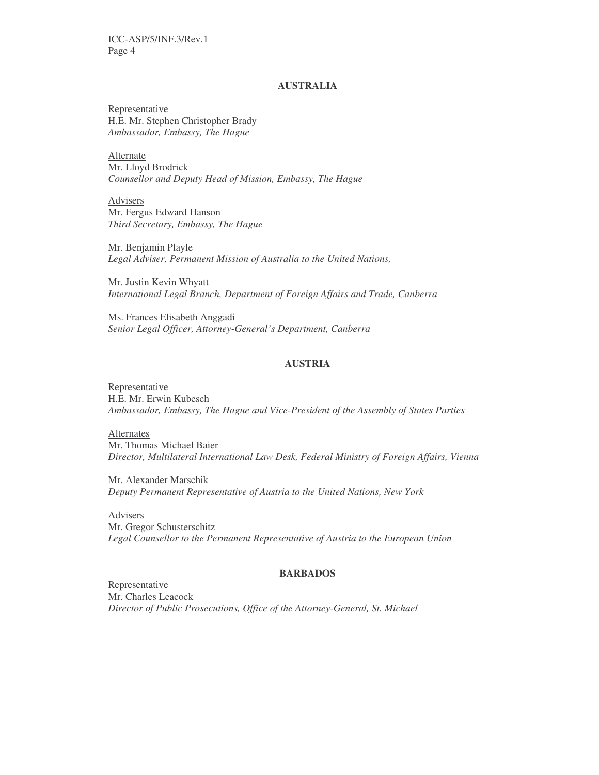ICC-ASP/5/INF.3/Rev.1 Page 4

# **AUSTRALIA**

Representative H.E. Mr. Stephen Christopher Brady *Ambassador, Embassy, The Hague*

**Alternate** Mr. Lloyd Brodrick *Counsellor and Deputy Head of Mission, Embassy, The Hague*

Advisers Mr. Fergus Edward Hanson *Third Secretary, Embassy, The Hague*

Mr. Benjamin Playle *Legal Adviser, Permanent Mission of Australia to the United Nations,*

Mr. Justin Kevin Whyatt *International Legal Branch, Department of Foreign Affairs and Trade, Canberra*

Ms. Frances Elisabeth Anggadi *Senior Legal Officer, Attorney-General's Department, Canberra*

#### **AUSTRIA**

Representative H.E. Mr. Erwin Kubesch *Ambassador, Embassy, The Hague and Vice-President of the Assembly of States Parties*

Alternates Mr. Thomas Michael Baier *Director, Multilateral International Law Desk, Federal Ministry of Foreign Affairs, Vienna*

Mr. Alexander Marschik *Deputy Permanent Representative of Austria to the United Nations, New York*

Advisers Mr. Gregor Schusterschitz *Legal Counsellor to the Permanent Representative of Austria to the European Union*

#### **BARBADOS**

Representative Mr. Charles Leacock *Director of Public Prosecutions, Office of the Attorney-General, St. Michael*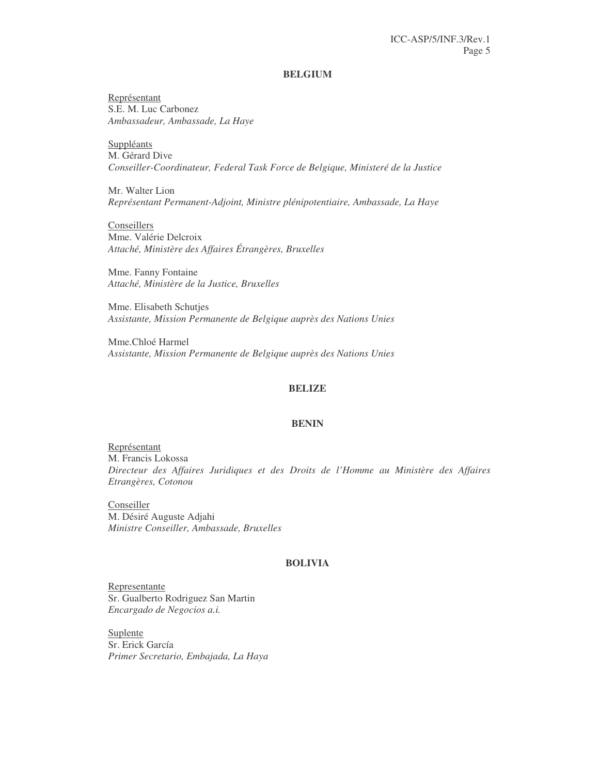#### **BELGIUM**

Représentant S.E. M. Luc Carbonez *Ambassadeur, Ambassade, La Haye*

**Suppléants** M. Gérard Dive *Conseiller-Coordinateur, Federal Task Force de Belgique, Ministeré de la Justice*

Mr. Walter Lion *Représentant Permanent-Adjoint, Ministre plénipotentiaire, Ambassade, La Haye*

**Conseillers** Mme. Valérie Delcroix *Attaché, Ministère des Affaires Étrangères, Bruxelles*

Mme. Fanny Fontaine *Attaché, Ministère de la Justice, Bruxelles*

Mme. Elisabeth Schutjes *Assistante, Mission Permanente de Belgique auprès des Nations Unies*

Mme.Chloé Harmel *Assistante, Mission Permanente de Belgique auprès des Nations Unies*

# **BELIZE**

#### **BENIN**

Représentant M. Francis Lokossa *Directeur des Affaires Juridiques et des Droits de l'Homme au Ministère des Affaires Etrangères, Cotonou*

**Conseiller** M. Désiré Auguste Adjahi *Ministre Conseiller, Ambassade, Bruxelles*

#### **BOLIVIA**

Representante Sr. Gualberto Rodriguez San Martin *Encargado de Negocios a.i.*

Suplente Sr. Erick García *Primer Secretario, Embajada, La Haya*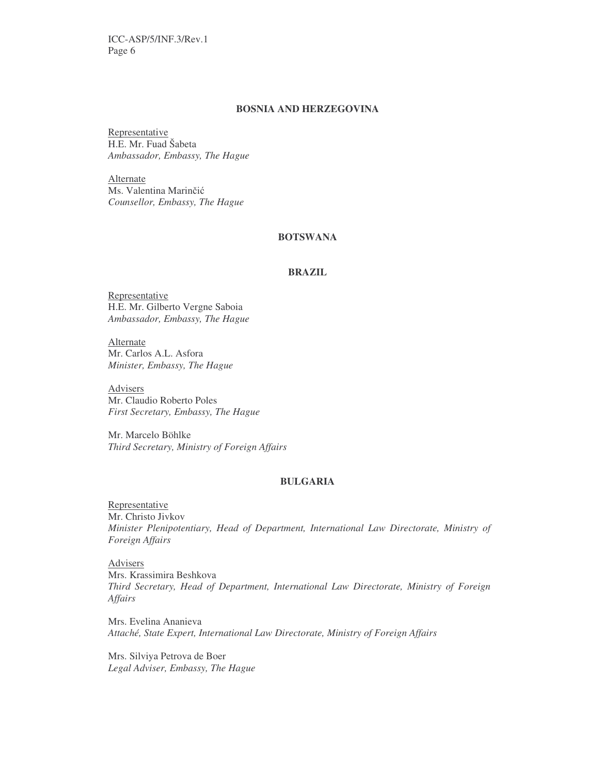ICC-ASP/5/INF.3/Rev.1 Page 6

# **BOSNIA AND HERZEGOVINA**

Representative H.E. Mr. Fuad Šabeta *Ambassador, Embassy, The Hague*

Alternate Ms. Valentina Marinčić *Counsellor, Embassy, The Hague*

#### **BOTSWANA**

#### **BRAZIL**

Representative H.E. Mr. Gilberto Vergne Saboia *Ambassador, Embassy, The Hague*

Alternate Mr. Carlos A.L. Asfora *Minister, Embassy, The Hague*

Advisers Mr. Claudio Roberto Poles *First Secretary, Embassy, The Hague*

Mr. Marcelo Böhlke *Third Secretary, Ministry of Foreign Affairs*

# **BULGARIA**

Representative Mr. Christo Jivkov *Minister Plenipotentiary, Head of Department, International Law Directorate, Ministry of Foreign Affairs*

Advisers Mrs. Krassimira Beshkova *Third Secretary, Head of Department, International Law Directorate, Ministry of Foreign Affairs*

Mrs. Evelina Ananieva *Attaché, State Expert, International Law Directorate, Ministry of Foreign Affairs*

Mrs. Silviya Petrova de Boer *Legal Adviser, Embassy, The Hague*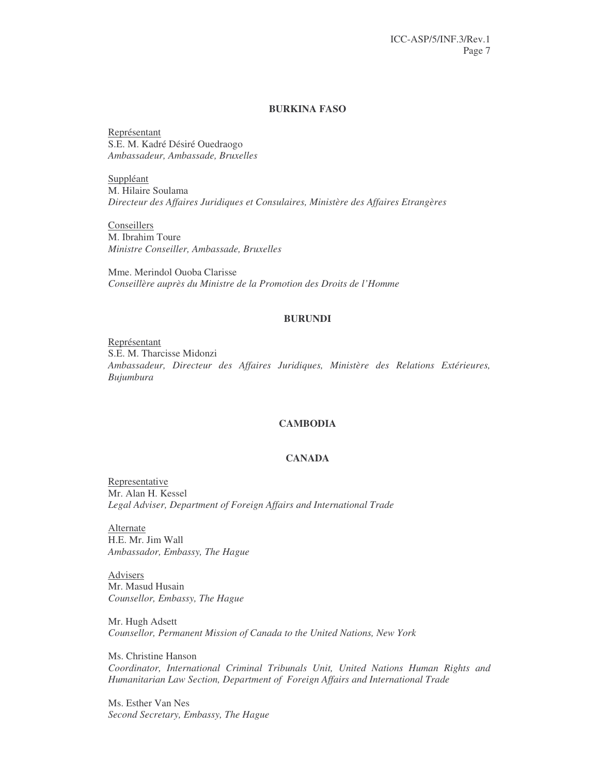#### **BURKINA FASO**

Représentant S.E. M. Kadré Désiré Ouedraogo *Ambassadeur, Ambassade, Bruxelles*

Suppléant M. Hilaire Soulama *Directeur des Affaires Juridiques et Consulaires, Ministère des Affaires Etrangères*

**Conseillers** M. Ibrahim Toure *Ministre Conseiller, Ambassade, Bruxelles*

Mme. Merindol Ouoba Clarisse *Conseillère auprès du Ministre de la Promotion des Droits de l'Homme*

#### **BURUNDI**

Représentant S.E. M. Tharcisse Midonzi *Ambassadeur, Directeur des Affaires Juridiques, Ministère des Relations Extérieures, Bujumbura*

#### **CAMBODIA**

## **CANADA**

Representative Mr. Alan H. Kessel *Legal Adviser, Department of Foreign Affairs and International Trade*

Alternate H.E. Mr. Jim Wall *Ambassador, Embassy, The Hague*

Advisers Mr. Masud Husain *Counsellor, Embassy, The Hague*

Mr. Hugh Adsett *Counsellor, Permanent Mission of Canada to the United Nations, New York*

Ms. Christine Hanson *Coordinator, International Criminal Tribunals Unit, United Nations Human Rights and Humanitarian Law Section, Department of Foreign Affairs and International Trade*

Ms. Esther Van Nes *Second Secretary, Embassy, The Hague*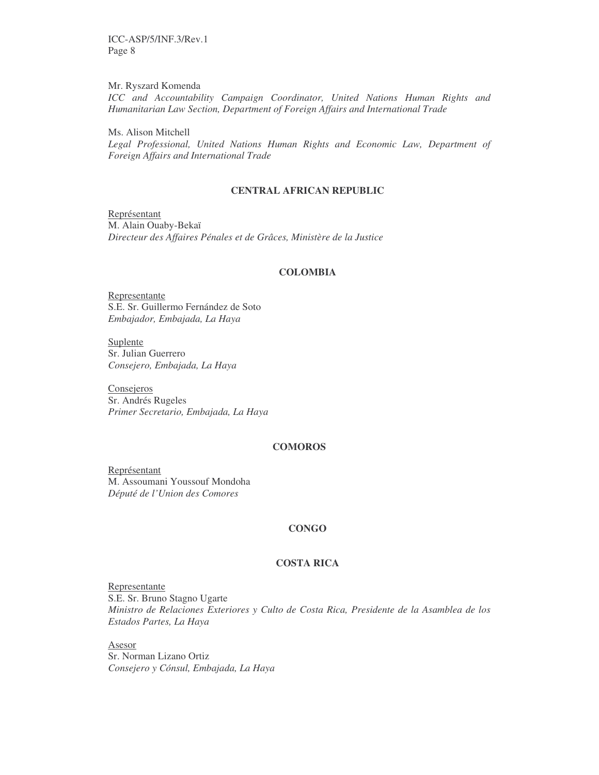ICC-ASP/5/INF.3/Rev.1 Page 8

Mr. Ryszard Komenda *ICC and Accountability Campaign Coordinator, United Nations Human Rights and Humanitarian Law Section, Department of Foreign Affairs and International Trade*

Ms. Alison Mitchell *Legal Professional, United Nations Human Rights and Economic Law, Department of Foreign Affairs and International Trade*

#### **CENTRAL AFRICAN REPUBLIC**

Représentant M. Alain Ouaby-Bekaï *Directeur des Affaires Pénales et de Grâces, Ministère de la Justice*

#### **COLOMBIA**

Representante S.E. Sr. Guillermo Fernández de Soto *Embajador, Embajada, La Haya*

Suplente Sr. Julian Guerrero *Consejero, Embajada, La Haya*

**Consejeros** Sr. Andrés Rugeles *Primer Secretario, Embajada, La Haya*

#### **COMOROS**

Représentant M. Assoumani Youssouf Mondoha *Député de l'Union des Comores*

#### **CONGO**

#### **COSTA RICA**

Representante S.E. Sr. Bruno Stagno Ugarte *Ministro de Relaciones Exteriores y Culto de Costa Rica, Presidente de la Asamblea de los Estados Partes, La Haya*

Asesor Sr. Norman Lizano Ortiz *Consejero y Cónsul, Embajada, La Haya*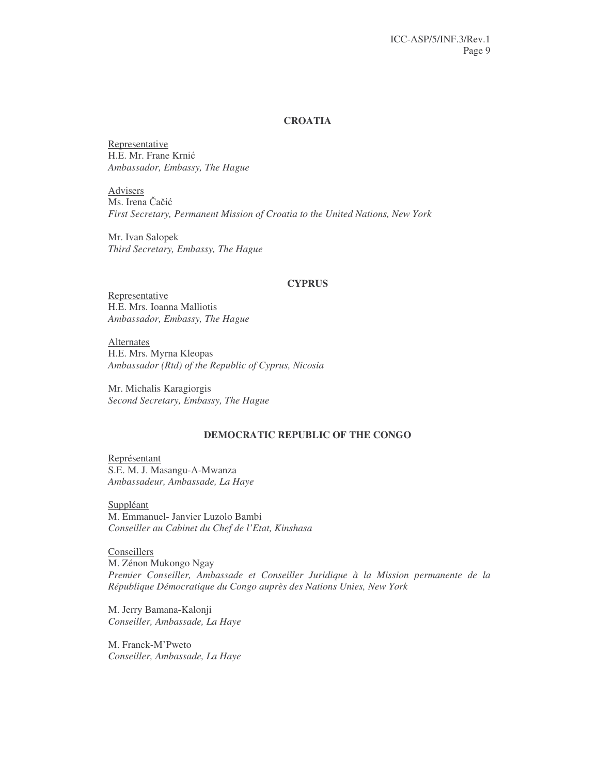# **CROATIA**

Representative H.E. Mr. Frane Krnić *Ambassador, Embassy, The Hague*

Advisers Ms. Irena Čačić *First Secretary, Permanent Mission of Croatia to the United Nations, New York*

Mr. Ivan Salopek *Third Secretary, Embassy, The Hague*

#### **CYPRUS**

Representative H.E. Mrs. Ioanna Malliotis *Ambassador, Embassy, The Hague*

Alternates H.E. Mrs. Myrna Kleopas *Ambassador (Rtd) of the Republic of Cyprus, Nicosia*

Mr. Michalis Karagiorgis *Second Secretary, Embassy, The Hague*

# **DEMOCRATIC REPUBLIC OF THE CONGO**

Représentant S.E. M. J. Masangu-A-Mwanza *Ambassadeur, Ambassade, La Haye*

Suppléant M. Emmanuel- Janvier Luzolo Bambi *Conseiller au Cabinet du Chef de l'Etat, Kinshasa*

**Conseillers** M. Zénon Mukongo Ngay *Premier Conseiller, Ambassade et Conseiller Juridique à la Mission permanente de la République Démocratique du Congo auprès des Nations Unies, New York*

M. Jerry Bamana-Kalonji *Conseiller, Ambassade, La Haye*

M. Franck-M'Pweto *Conseiller, Ambassade, La Haye*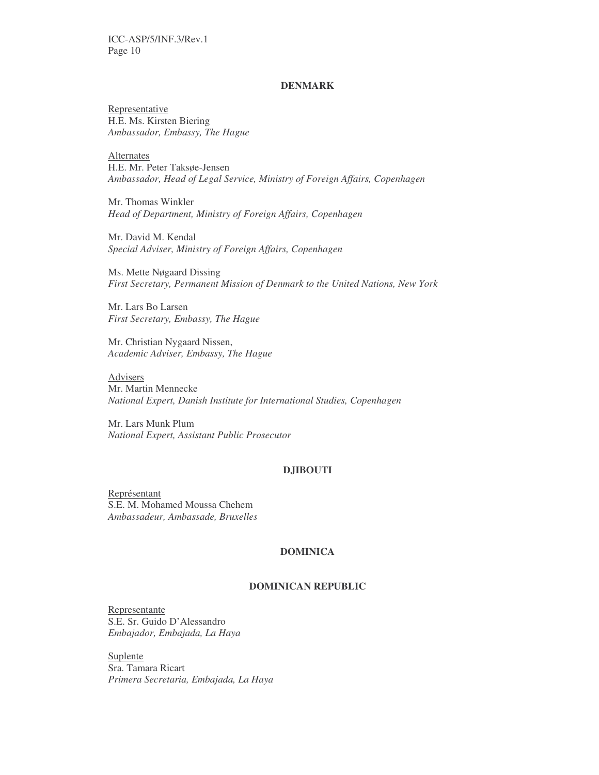# **DENMARK**

Representative H.E. Ms. Kirsten Biering *Ambassador, Embassy, The Hague*

**Alternates** H.E. Mr. Peter Taksøe-Jensen *Ambassador, Head of Legal Service, Ministry of Foreign Affairs, Copenhagen*

Mr. Thomas Winkler *Head of Department, Ministry of Foreign Affairs, Copenhagen*

Mr. David M. Kendal *Special Adviser, Ministry of Foreign Affairs, Copenhagen*

Ms. Mette Nøgaard Dissing *First Secretary, Permanent Mission of Denmark to the United Nations, New York*

Mr. Lars Bo Larsen *First Secretary, Embassy, The Hague*

Mr. Christian Nygaard Nissen, *Academic Adviser, Embassy, The Hague*

Advisers Mr. Martin Mennecke *National Expert, Danish Institute for International Studies, Copenhagen*

Mr. Lars Munk Plum *National Expert, Assistant Public Prosecutor*

#### **DJIBOUTI**

Représentant S.E. M. Mohamed Moussa Chehem *Ambassadeur, Ambassade, Bruxelles*

# **DOMINICA**

# **DOMINICAN REPUBLIC**

Representante S.E. Sr. Guido D'Alessandro *Embajador, Embajada, La Haya*

Suplente Sra. Tamara Ricart *Primera Secretaria, Embajada, La Haya*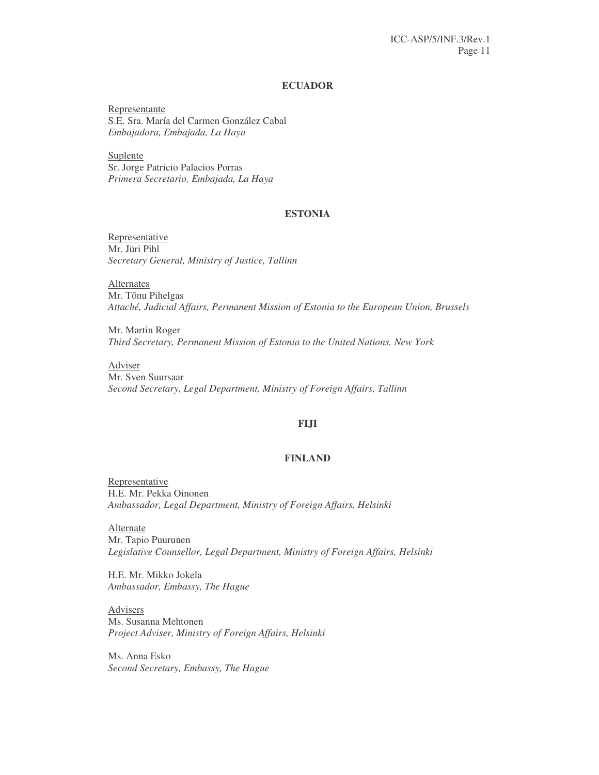# **ECUADOR**

Representante S.E. Sra. María del Carmen González Cabal *Embajadora, Embajada, La Haya*

Suplente Sr. Jorge Patricio Palacios Porras *Primera Secretario, Embajada, La Haya*

#### **ESTONIA**

Representative Mr. Jüri Pihl *Secretary General, Ministry of Justice, Tallinn*

**Alternates** Mr. Tõnu Pihelgas *Attaché, Judicial Affairs, Permanent Mission of Estonia to the European Union, Brussels*

Mr. Martin Roger *Third Secretary, Permanent Mission of Estonia to the United Nations, New York*

Adviser Mr. Sven Suursaar *Second Secretary, Legal Department, Ministry of Foreign Affairs, Tallinn*

#### **FIJI**

## **FINLAND**

Representative H.E. Mr. Pekka Oinonen *Ambassador, Legal Department, Ministry of Foreign Affairs, Helsinki*

**Alternate** Mr. Tapio Puurunen *Legislative Counsellor, Legal Department, Ministry of Foreign Affairs, Helsinki*

H.E. Mr. Mikko Jokela *Ambassador, Embassy, The Hague*

Advisers Ms. Susanna Mehtonen *Project Adviser, Ministry of Foreign Affairs, Helsinki*

Ms. Anna Esko *Second Secretary, Embassy, The Hague*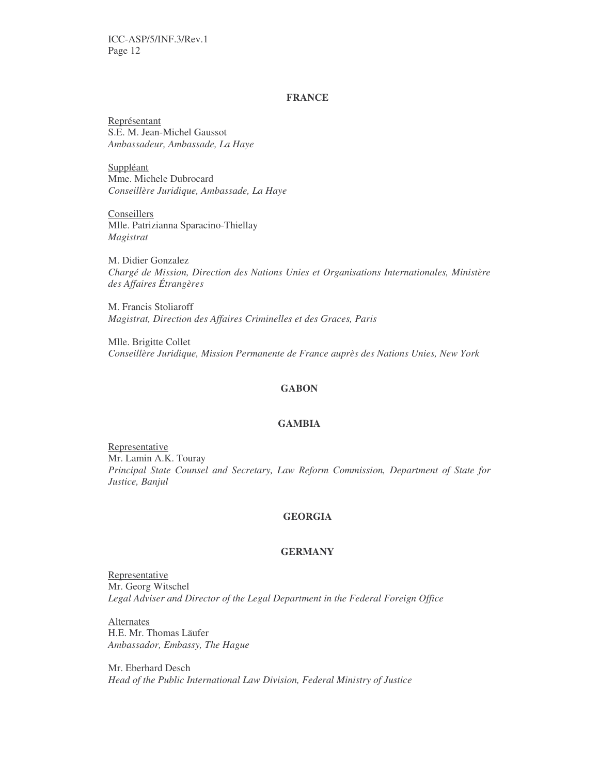## **FRANCE**

Représentant S.E. M. Jean-Michel Gaussot *Ambassadeur, Ambassade, La Haye*

Suppléant Mme. Michele Dubrocard *Conseillère Juridique, Ambassade, La Haye*

**Conseillers** Mlle. Patrizianna Sparacino-Thiellay *Magistrat*

M. Didier Gonzalez *Chargé de Mission, Direction des Nations Unies et Organisations Internationales, Ministère des Affaires Étrangères*

M. Francis Stoliaroff *Magistrat, Direction des Affaires Criminelles et des Graces, Paris*

Mlle. Brigitte Collet *Conseillère Juridique, Mission Permanente de France auprès des Nations Unies, New York*

# **GABON**

#### **GAMBIA**

Representative Mr. Lamin A.K. Touray *Principal State Counsel and Secretary, Law Reform Commission, Department of State for Justice, Banjul*

#### **GEORGIA**

# **GERMANY**

Representative Mr. Georg Witschel *Legal Adviser and Director of the Legal Department in the Federal Foreign Office*

Alternates H.E. Mr. Thomas Läufer *Ambassador, Embassy, The Hague*

Mr. Eberhard Desch *Head of the Public International Law Division, Federal Ministry of Justice*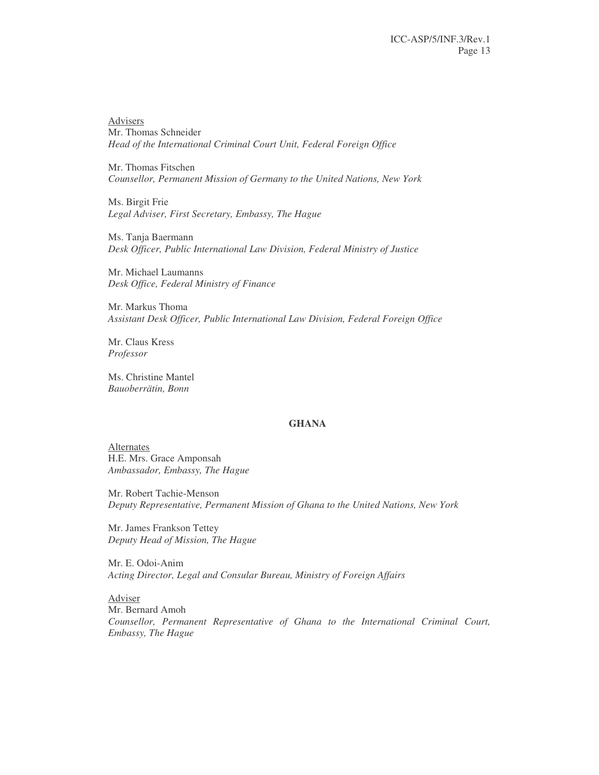Advisers Mr. Thomas Schneider *Head of the International Criminal Court Unit, Federal Foreign Office*

Mr. Thomas Fitschen *Counsellor, Permanent Mission of Germany to the United Nations, New York*

Ms. Birgit Frie *Legal Adviser, First Secretary, Embassy, The Hague*

Ms. Tanja Baermann *Desk Officer, Public International Law Division, Federal Ministry of Justice*

Mr. Michael Laumanns *Desk Office, Federal Ministry of Finance*

Mr. Markus Thoma *Assistant Desk Officer, Public International Law Division, Federal Foreign Office*

Mr. Claus Kress *Professor*

Ms. Christine Mantel *Bauoberrätin, Bonn*

#### **GHANA**

**Alternates** H.E. Mrs. Grace Amponsah *Ambassador, Embassy, The Hague*

Mr. Robert Tachie-Menson *Deputy Representative, Permanent Mission of Ghana to the United Nations, New York*

Mr. James Frankson Tettey *Deputy Head of Mission, The Hague*

Mr. E. Odoi-Anim *Acting Director, Legal and Consular Bureau, Ministry of Foreign Affairs*

Adviser Mr. Bernard Amoh *Counsellor, Permanent Representative of Ghana to the International Criminal Court, Embassy, The Hague*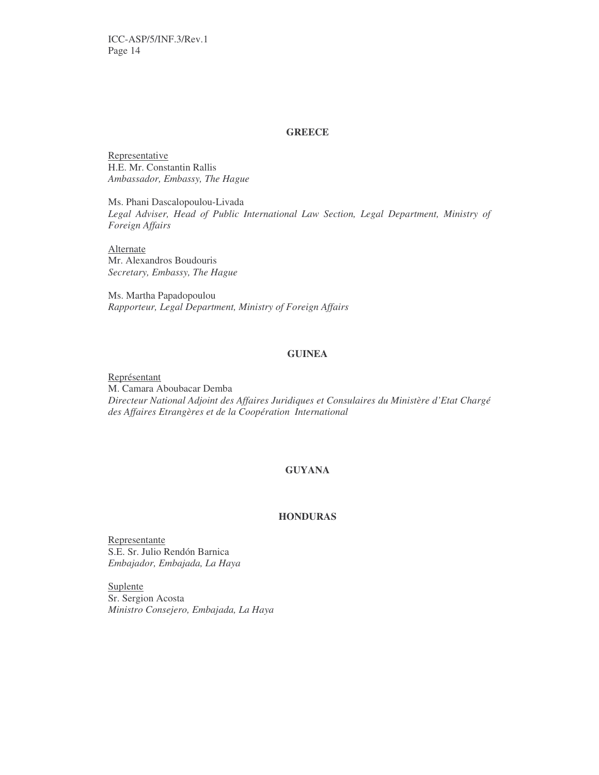#### **GREECE**

Representative H.E. Mr. Constantin Rallis *Ambassador, Embassy, The Hague*

Ms. Phani Dascalopoulou-Livada *Legal Adviser, Head of Public International Law Section, Legal Department, Ministry of Foreign Affairs*

**Alternate** Mr. Alexandros Boudouris *Secretary, Embassy, The Hague*

Ms. Martha Papadopoulou *Rapporteur, Legal Department, Ministry of Foreign Affairs*

#### **GUINEA**

Représentant M. Camara Aboubacar Demba *Directeur National Adjoint des Affaires Juridiques et Consulaires du Ministère d'Etat Chargé des Affaires Etrangères et de la Coopération International*

# **GUYANA**

# **HONDURAS**

Representante S.E. Sr. Julio Rendón Barnica *Embajador, Embajada, La Haya*

Suplente Sr. Sergion Acosta *Ministro Consejero, Embajada, La Haya*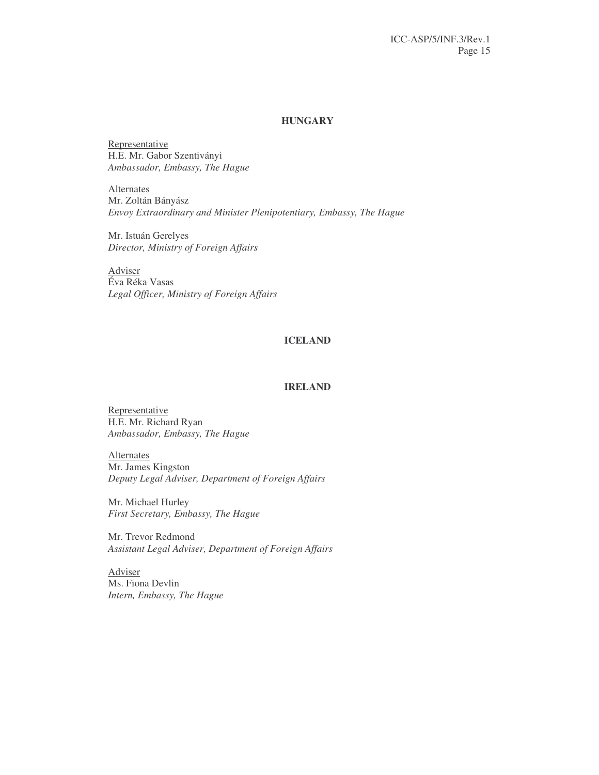# **HUNGARY**

Representative H.E. Mr. Gabor Szentiványi *Ambassador, Embassy, The Hague*

Alternates Mr. Zoltán Bányász *Envoy Extraordinary and Minister Plenipotentiary, Embassy, The Hague*

Mr. Istuán Gerelyes *Director, Ministry of Foreign Affairs*

Adviser Éva Réka Vasas *Legal Officer, Ministry of Foreign Affairs*

# **ICELAND**

#### **IRELAND**

Representative H.E. Mr. Richard Ryan *Ambassador, Embassy, The Hague*

Alternates Mr. James Kingston *Deputy Legal Adviser, Department of Foreign Affairs*

Mr. Michael Hurley *First Secretary, Embassy, The Hague*

Mr. Trevor Redmond *Assistant Legal Adviser, Department of Foreign Affairs*

Adviser Ms. Fiona Devlin *Intern, Embassy, The Hague*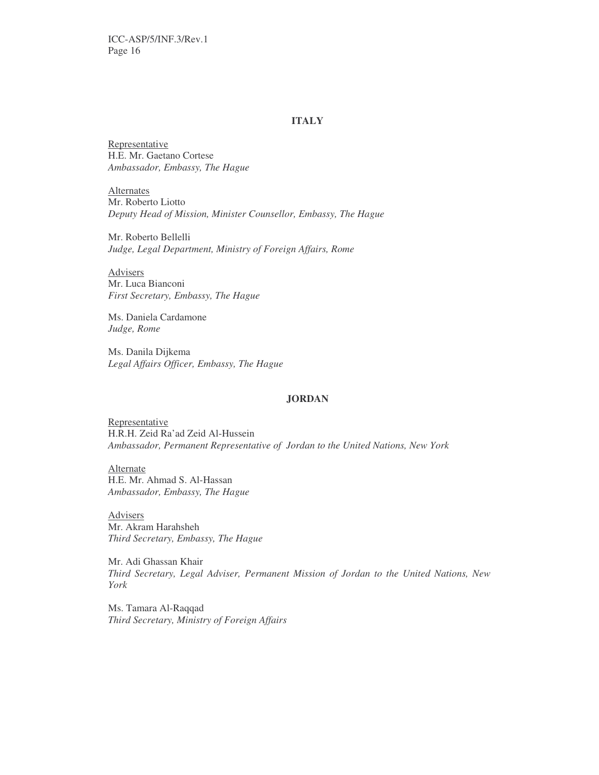# **ITALY**

Representative H.E. Mr. Gaetano Cortese *Ambassador, Embassy, The Hague*

Alternates Mr. Roberto Liotto *Deputy Head of Mission, Minister Counsellor, Embassy, The Hague*

Mr. Roberto Bellelli *Judge, Legal Department, Ministry of Foreign Affairs, Rome*

Advisers Mr. Luca Bianconi *First Secretary, Embassy, The Hague*

Ms. Daniela Cardamone *Judge, Rome*

Ms. Danila Dijkema *Legal Affairs Officer, Embassy, The Hague*

# **JORDAN**

Representative H.R.H. Zeid Ra'ad Zeid Al-Hussein *Ambassador, Permanent Representative of Jordan to the United Nations, New York*

**Alternate** H.E. Mr. Ahmad S. Al-Hassan *Ambassador, Embassy, The Hague*

Advisers Mr. Akram Harahsheh *Third Secretary, Embassy, The Hague*

Mr. Adi Ghassan Khair *Third Secretary, Legal Adviser, Permanent Mission of Jordan to the United Nations, New York*

Ms. Tamara Al-Raqqad *Third Secretary, Ministry of Foreign Affairs*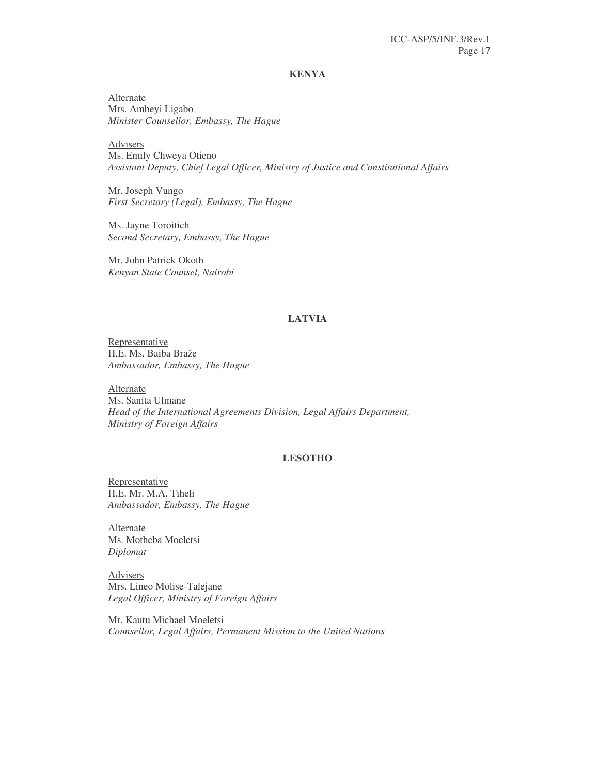#### **KENYA**

Alternate Mrs. Ambeyi Ligabo *Minister Counsellor, Embassy, The Hague*

Advisers Ms. Emily Chweya Otieno *Assistant Deputy, Chief Legal Officer, Ministry of Justice and Constitutional Affairs*

Mr. Joseph Vungo *First Secretary (Legal), Embassy, The Hague*

Ms. Jayne Toroitich *Second Secretary, Embassy, The Hague*

Mr. John Patrick Okoth *Kenyan State Counsel, Nairobi*

# **LATVIA**

Representative H.E. Ms. Baiba Braže *Ambassador, Embassy, The Hague*

Alternate Ms. Sanita Ulmane *Head of the International Agreements Division, Legal Affairs Department, Ministry of Foreign Affairs*

# **LESOTHO**

Representative H.E. Mr. M.A. Tiheli *Ambassador, Embassy, The Hague*

Alternate Ms. Motheba Moeletsi *Diplomat*

Advisers Mrs. Lineo Molise-Talejane *Legal Officer, Ministry of Foreign Affairs*

Mr. Kautu Michael Moeletsi *Counsellor, Legal Affairs, Permanent Mission to the United Nations*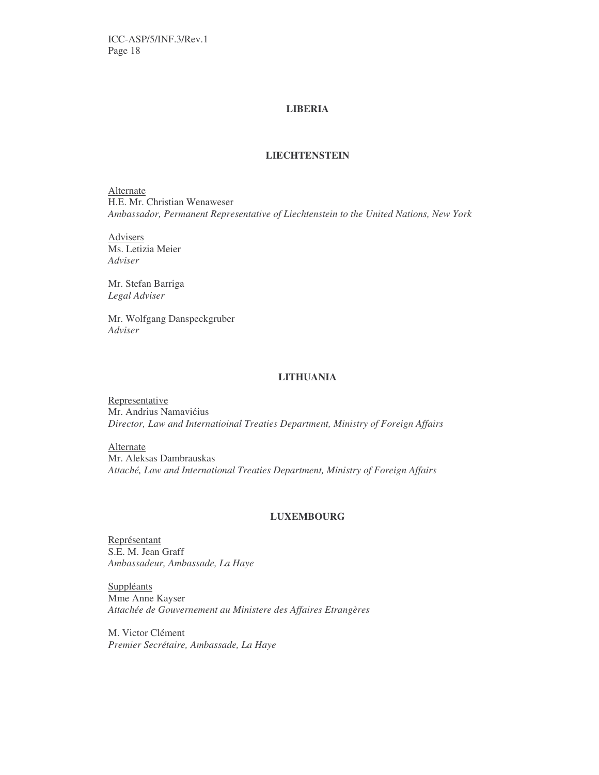# **LIBERIA**

# **LIECHTENSTEIN**

**Alternate** H.E. Mr. Christian Wenaweser *Ambassador, Permanent Representative of Liechtenstein to the United Nations, New York*

Advisers Ms. Letizia Meier *Adviser*

Mr. Stefan Barriga *Legal Adviser*

Mr. Wolfgang Danspeckgruber *Adviser*

# **LITHUANIA**

**Representative** Mr. Andrius Namavićius *Director, Law and Internatioinal Treaties Department, Ministry of Foreign Affairs*

Alternate

Mr. Aleksas Dambrauskas *Attaché, Law and International Treaties Department, Ministry of Foreign Affairs*

#### **LUXEMBOURG**

Représentant S.E. M. Jean Graff *Ambassadeur, Ambassade, La Haye*

Suppléants Mme Anne Kayser *Attachée de Gouvernement au Ministere des Affaires Etrangères*

M. Victor Clément *Premier Secrétaire, Ambassade, La Haye*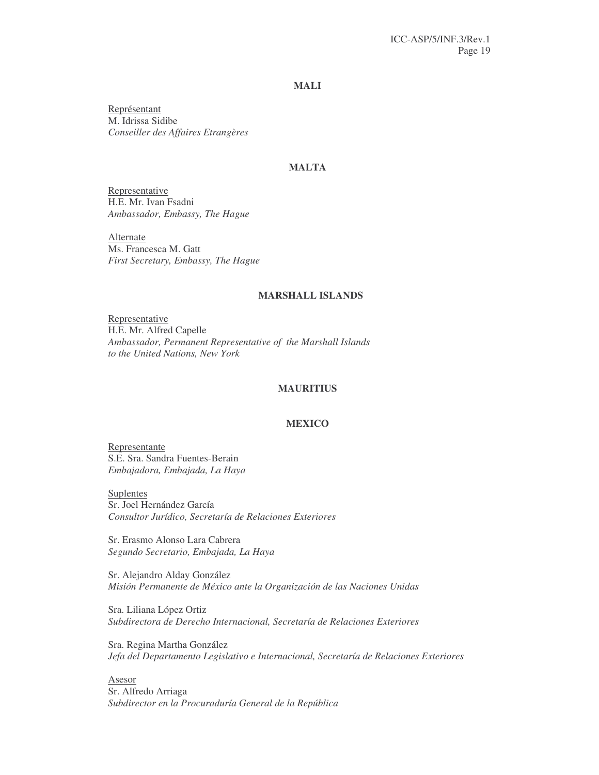# **MALI**

Représentant M. Idrissa Sidibe *Conseiller des Affaires Etrangères*

# **MALTA**

Representative H.E. Mr. Ivan Fsadni *Ambassador, Embassy, The Hague*

Alternate Ms. Francesca M. Gatt *First Secretary, Embassy, The Hague*

#### **MARSHALL ISLANDS**

Representative H.E. Mr. Alfred Capelle *Ambassador, Permanent Representative of the Marshall Islands to the United Nations, New York*

#### **MAURITIUS**

#### **MEXICO**

Representante S.E. Sra. Sandra Fuentes-Berain *Embajadora, Embajada, La Haya*

**Suplentes** Sr. Joel Hernández García *Consultor Jurídico, Secretaría de Relaciones Exteriores*

Sr. Erasmo Alonso Lara Cabrera *Segundo Secretario, Embajada, La Haya*

Sr. Alejandro Alday González *Misión Permanente de México ante la Organización de las Naciones Unidas*

Sra. Liliana López Ortiz *Subdirectora de Derecho Internacional, Secretaría de Relaciones Exteriores*

Sra. Regina Martha González *Jefa del Departamento Legislativo e Internacional, Secretaría de Relaciones Exteriores*

Asesor Sr. Alfredo Arriaga *Subdirector en la Procuraduría General de la República*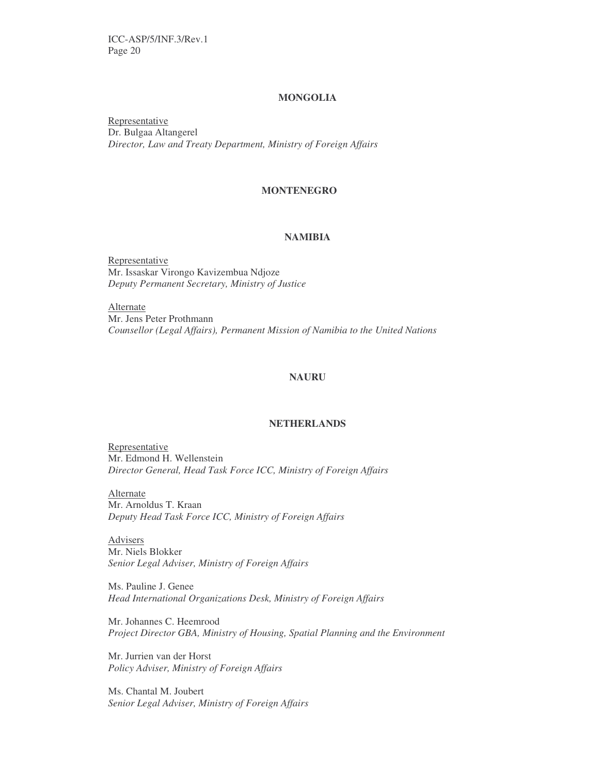# **MONGOLIA**

Representative Dr. Bulgaa Altangerel *Director, Law and Treaty Department, Ministry of Foreign Affairs*

# **MONTENEGRO**

# **NAMIBIA**

Representative Mr. Issaskar Virongo Kavizembua Ndjoze *Deputy Permanent Secretary, Ministry of Justice*

Alternate Mr. Jens Peter Prothmann *Counsellor (Legal Affairs), Permanent Mission of Namibia to the United Nations*

# **NAURU**

#### **NETHERLANDS**

Representative Mr. Edmond H. Wellenstein *Director General, Head Task Force ICC, Ministry of Foreign Affairs*

Alternate Mr. Arnoldus T. Kraan *Deputy Head Task Force ICC, Ministry of Foreign Affairs*

Advisers Mr. Niels Blokker *Senior Legal Adviser, Ministry of Foreign Affairs*

Ms. Pauline J. Genee *Head International Organizations Desk, Ministry of Foreign Affairs*

Mr. Johannes C. Heemrood *Project Director GBA, Ministry of Housing, Spatial Planning and the Environment*

Mr. Jurrien van der Horst *Policy Adviser, Ministry of Foreign Affairs*

Ms. Chantal M. Joubert *Senior Legal Adviser, Ministry of Foreign Affairs*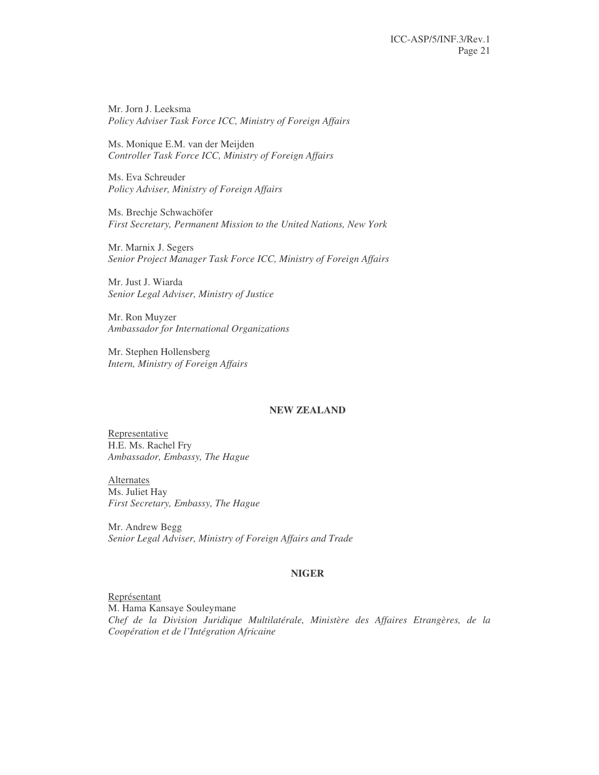Mr. Jorn J. Leeksma *Policy Adviser Task Force ICC, Ministry of Foreign Affairs*

Ms. Monique E.M. van der Meijden *Controller Task Force ICC, Ministry of Foreign Affairs*

Ms. Eva Schreuder *Policy Adviser, Ministry of Foreign Affairs*

Ms. Brechje Schwachöfer *First Secretary, Permanent Mission to the United Nations, New York*

Mr. Marnix J. Segers *Senior Project Manager Task Force ICC, Ministry of Foreign Affairs*

Mr. Just J. Wiarda *Senior Legal Adviser, Ministry of Justice*

Mr. Ron Muyzer *Ambassador for International Organizations*

Mr. Stephen Hollensberg *Intern, Ministry of Foreign Affairs*

#### **NEW ZEALAND**

Representative H.E. Ms. Rachel Fry *Ambassador, Embassy, The Hague*

Alternates Ms. Juliet Hay *First Secretary, Embassy, The Hague*

Mr. Andrew Begg *Senior Legal Adviser, Ministry of Foreign Affairs and Trade*

#### **NIGER**

Représentant M. Hama Kansaye Souleymane *Chef de la Division Juridique Multilatérale, Ministère des Affaires Etrangères, de la Coopération et de l'Intégration Africaine*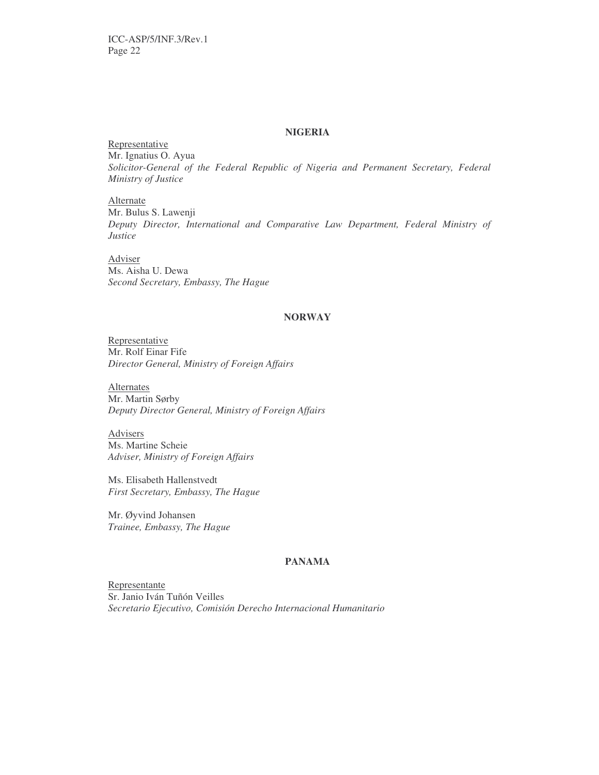#### **NIGERIA**

Representative Mr. Ignatius O. Ayua *Solicitor-General of the Federal Republic of Nigeria and Permanent Secretary, Federal Ministry of Justice*

Alternate Mr. Bulus S. Lawenji *Deputy Director, International and Comparative Law Department, Federal Ministry of Justice*

Adviser Ms. Aisha U. Dewa *Second Secretary, Embassy, The Hague*

# **NORWAY**

Representative Mr. Rolf Einar Fife *Director General, Ministry of Foreign Affairs*

**Alternates** Mr. Martin Sørby *Deputy Director General, Ministry of Foreign Affairs*

Advisers Ms. Martine Scheie *Adviser, Ministry of Foreign Affairs*

Ms. Elisabeth Hallenstvedt *First Secretary, Embassy, The Hague*

Mr. Øyvind Johansen *Trainee, Embassy, The Hague*

# **PANAMA**

Representante Sr. Janio Iván Tuñón Veilles *Secretario Ejecutivo, Comisión Derecho Internacional Humanitario*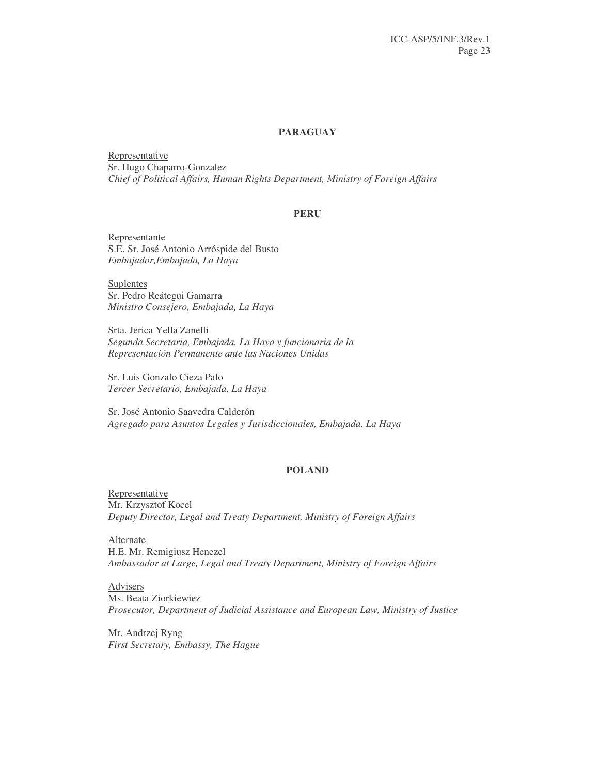#### **PARAGUAY**

Representative Sr. Hugo Chaparro-Gonzalez *Chief of Political Affairs, Human Rights Department, Ministry of Foreign Affairs*

#### **PERU**

Representante S.E. Sr. José Antonio Arróspide del Busto *Embajador,Embajada, La Haya*

**Suplentes** Sr. Pedro Reátegui Gamarra *Ministro Consejero, Embajada, La Haya*

Srta. Jerica Yella Zanelli *Segunda Secretaria, Embajada, La Haya y funcionaria de la Representación Permanente ante las Naciones Unidas*

Sr. Luis Gonzalo Cieza Palo *Tercer Secretario, Embajada, La Haya*

Sr. José Antonio Saavedra Calderón *Agregado para Asuntos Legales y Jurisdiccionales, Embajada, La Haya*

#### **POLAND**

**Representative** Mr. Krzysztof Kocel *Deputy Director, Legal and Treaty Department, Ministry of Foreign Affairs*

Alternate H.E. Mr. Remigiusz Henezel *Ambassador at Large, Legal and Treaty Department, Ministry of Foreign Affairs*

Advisers Ms. Beata Ziorkiewiez *Prosecutor, Department of Judicial Assistance and European Law, Ministry of Justice*

Mr. Andrzej Ryng *First Secretary, Embassy, The Hague*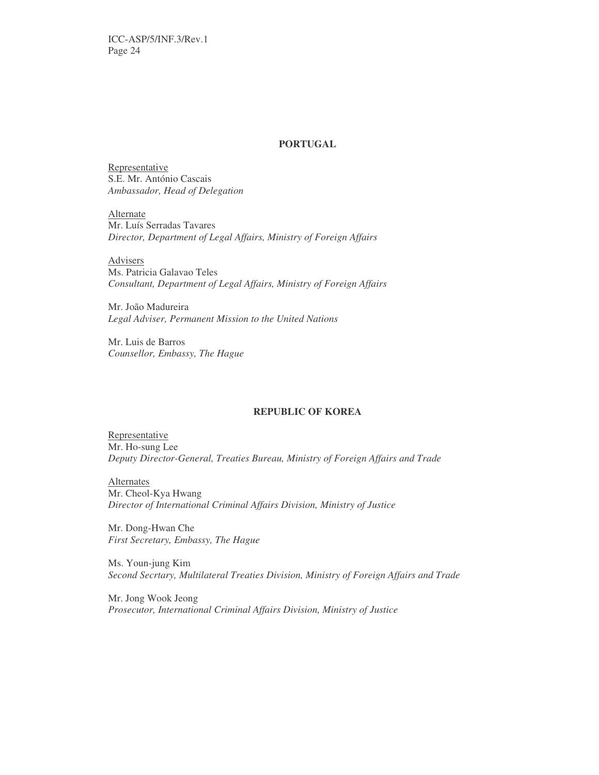#### **PORTUGAL**

Representative S.E. Mr. António Cascais *Ambassador, Head of Delegation*

Alternate Mr. Luís Serradas Tavares *Director, Department of Legal Affairs, Ministry of Foreign Affairs*

Advisers Ms. Patricia Galavao Teles *Consultant, Department of Legal Affairs, Ministry of Foreign Affairs*

Mr. João Madureira *Legal Adviser, Permanent Mission to the United Nations*

Mr. Luis de Barros *Counsellor, Embassy, The Hague*

# **REPUBLIC OF KOREA**

Representative Mr. Ho-sung Lee *Deputy Director-General, Treaties Bureau, Ministry of Foreign Affairs and Trade*

**Alternates** Mr. Cheol-Kya Hwang *Director of International Criminal Affairs Division, Ministry of Justice*

Mr. Dong-Hwan Che *First Secretary, Embassy, The Hague*

Ms. Youn-jung Kim *Second Secrtary, Multilateral Treaties Division, Ministry of Foreign Affairs and Trade*

Mr. Jong Wook Jeong *Prosecutor, International Criminal Affairs Division, Ministry of Justice*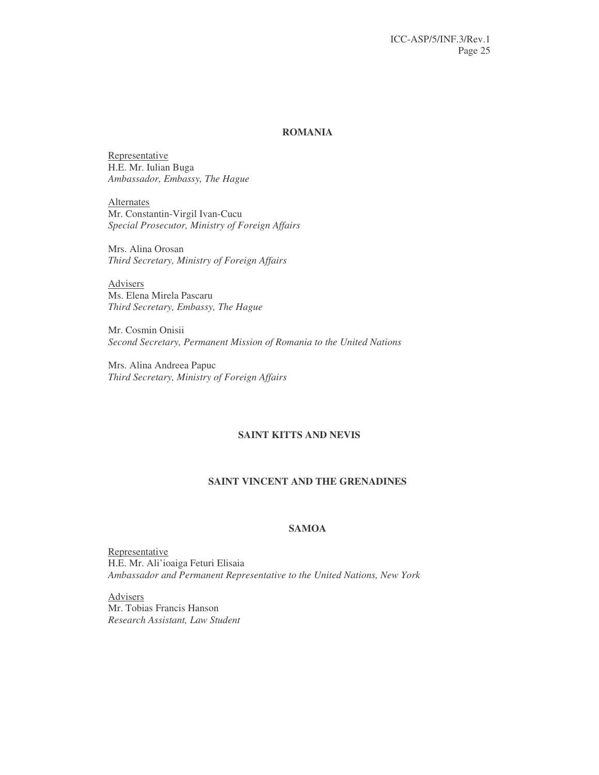#### **ROMANIA**

Representative H.E. Mr. Iulian Buga *Ambassador, Embassy, The Hague*

Alternates Mr. Constantin-Virgil Ivan-Cucu *Special Prosecutor, Ministry of Foreign Affairs*

Mrs. Alina Orosan *Third Secretary, Ministry of Foreign Affairs*

Advisers Ms. Elena Mirela Pascaru *Third Secretary, Embassy, The Hague*

Mr. Cosmin Onisii *Second Secretary, Permanent Mission of Romania to the United Nations*

Mrs. Alina Andreea Papuc *Third Secretary, Ministry of Foreign Affairs*

# **SAINT KITTS AND NEVIS**

## **SAINT VINCENT AND THE GRENADINES**

# **SAMOA**

Representative H.E. Mr. Ali'ioaiga Feturi Elisaia *Ambassador and Permanent Representative to the United Nations, New York*

Advisers Mr. Tobias Francis Hanson *Research Assistant, Law Student*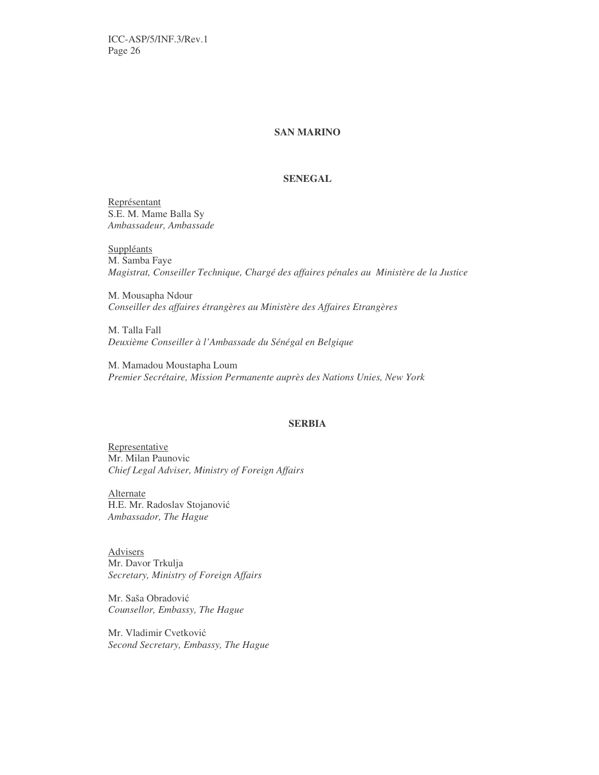ICC-ASP/5/INF.3/Rev.1 Page 26

#### **SAN MARINO**

#### **SENEGAL**

Représentant S.E. M. Mame Balla Sy *Ambassadeur, Ambassade*

**Suppléants** M. Samba Faye *Magistrat, Conseiller Technique, Chargé des affaires pénales au Ministère de la Justice*

M. Mousapha Ndour *Conseiller des affaires étrangères au Ministère des Affaires Etrangères*

M. Talla Fall *Deuxième Conseiller à l'Ambassade du Sénégal en Belgique*

M. Mamadou Moustapha Loum *Premier Secrétaire, Mission Permanente auprès des Nations Unies, New York*

#### **SERBIA**

Representative Mr. Milan Paunovic *Chief Legal Adviser, Ministry of Foreign Affairs*

**Alternate** H.E. Mr. Radoslav Stojanović *Ambassador, The Hague*

Advisers Mr. Davor Trkulja *Secretary, Ministry of Foreign Affairs*

Mr. Saša Obradović *Counsellor, Embassy, The Hague*

Mr. Vladimir Cvetković *Second Secretary, Embassy, The Hague*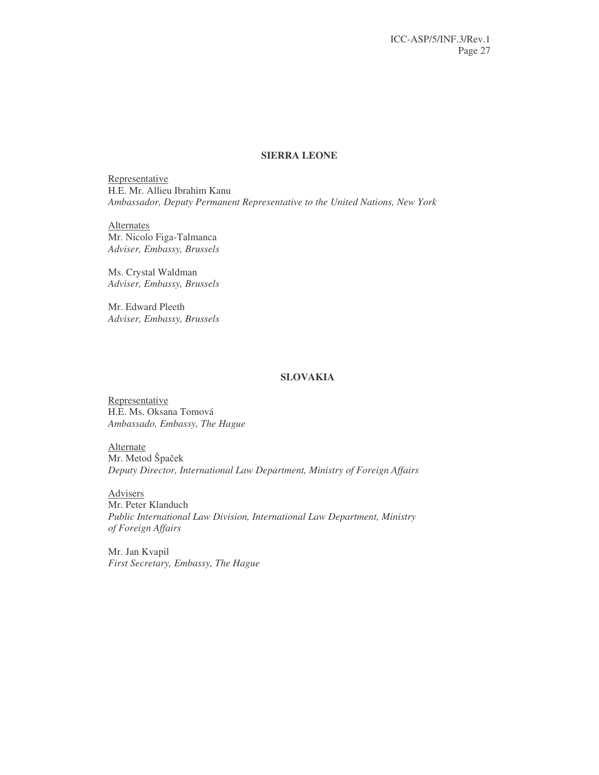# **SIERRA LEONE**

Representative H.E. Mr. Allieu Ibrahim Kanu *Ambassador, Deputy Permanent Representative to the United Nations, New York*

**Alternates** Mr. Nicolo Figa-Talmanca *Adviser, Embassy, Brussels*

Ms. Crystal Waldman *Adviser, Embassy, Brussels*

Mr. Edward Pleeth *Adviser, Embassy, Brussels*

# **SLOVAKIA**

**Representative** H.E. Ms. Oksana Tomová *Ambassado, Embassy, The Hague*

**Alternate** Mr. Metod Špaček *Deputy Director, International Law Department, Ministry of Foreign Affairs*

**Advisers** Mr. Peter Klanduch *Public International Law Division, International Law Department, Ministry of Foreign Affairs*

Mr. Jan Kvapil *First Secretary, Embassy, The Hague*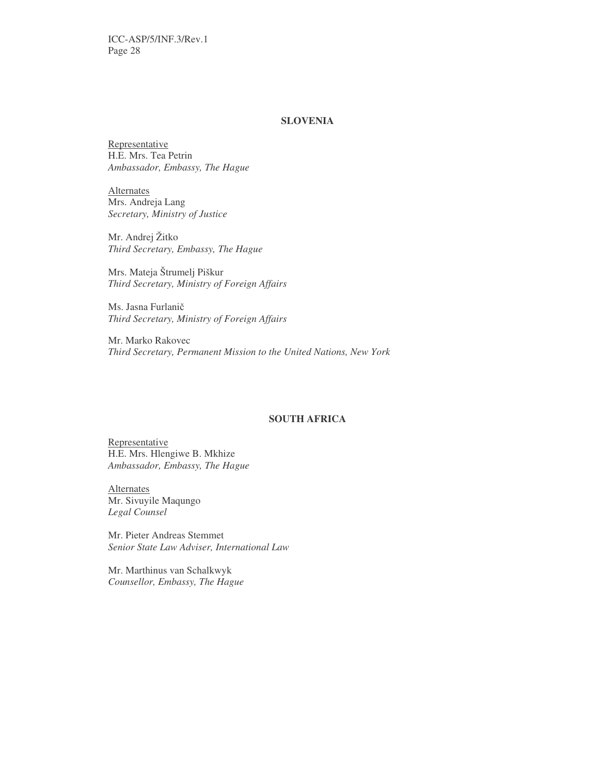# **SLOVENIA**

Representative H.E. Mrs. Tea Petrin *Ambassador, Embassy, The Hague*

**Alternates** Mrs. Andreja Lang *Secretary, Ministry of Justice*

Mr. Andrej Žitko *Third Secretary, Embassy, The Hague*

Mrs. Mateja Štrumelj Piškur *Third Secretary, Ministry of Foreign Affairs*

Ms. Jasna Furlani *Third Secretary, Ministry of Foreign Affairs*

Mr. Marko Rakovec *Third Secretary, Permanent Mission to the United Nations, New York*

#### **SOUTH AFRICA**

Representative H.E. Mrs. Hlengiwe B. Mkhize *Ambassador, Embassy, The Hague*

**Alternates** Mr. Sivuyile Maqungo *Legal Counsel*

Mr. Pieter Andreas Stemmet *Senior State Law Adviser, International Law*

Mr. Marthinus van Schalkwyk *Counsellor, Embassy, The Hague*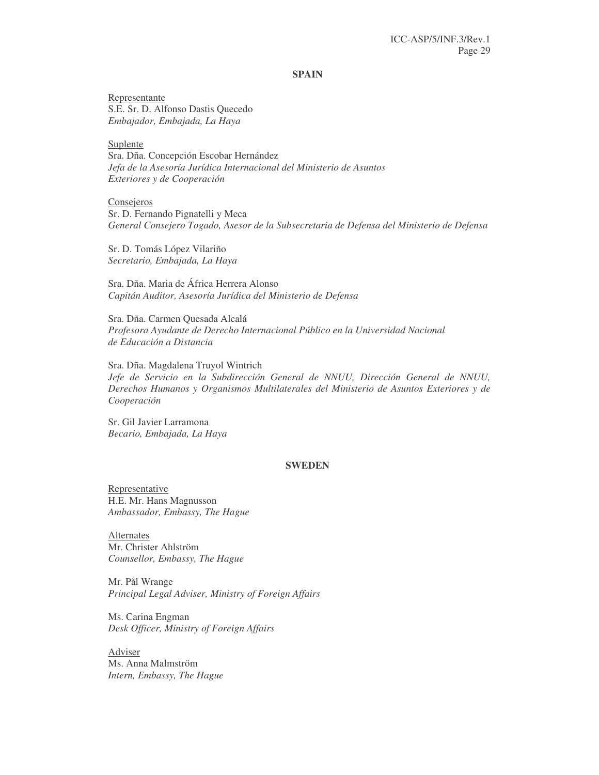#### **SPAIN**

Representante S.E. Sr. D. Alfonso Dastis Quecedo *Embajador, Embajada, La Haya*

Suplente Sra. Dña. Concepción Escobar Hernández *Jefa de la Asesoría Jurídica Internacional del Ministerio de Asuntos Exteriores y de Cooperación*

**Consejeros** Sr. D. Fernando Pignatelli y Meca *General Consejero Togado, Asesor de la Subsecretaria de Defensa del Ministerio de Defensa*

Sr. D. Tomás López Vilariño *Secretario, Embajada, La Haya*

Sra. Dña. Maria de África Herrera Alonso *Capitán Auditor, Asesoría Jurídica del Ministerio de Defensa*

Sra. Dña. Carmen Quesada Alcalá *Profesora Ayudante de Derecho Internacional Público en la Universidad Nacional de Educación a Distancia*

Sra. Dña. Magdalena Truyol Wintrich *Jefe de Servicio en la Subdirección General de NNUU, Dirección General de NNUU, Derechos Humanos y Organismos Multilaterales del Ministerio de Asuntos Exteriores y de Cooperación*

Sr. Gil Javier Larramona *Becario, Embajada, La Haya*

#### **SWEDEN**

Representative H.E. Mr. Hans Magnusson *Ambassador, Embassy, The Hague*

Alternates Mr. Christer Ahlström *Counsellor, Embassy, The Hague*

Mr. Pål Wrange *Principal Legal Adviser, Ministry of Foreign Affairs*

Ms. Carina Engman *Desk Officer, Ministry of Foreign Affairs*

Adviser Ms. Anna Malmström *Intern, Embassy, The Hague*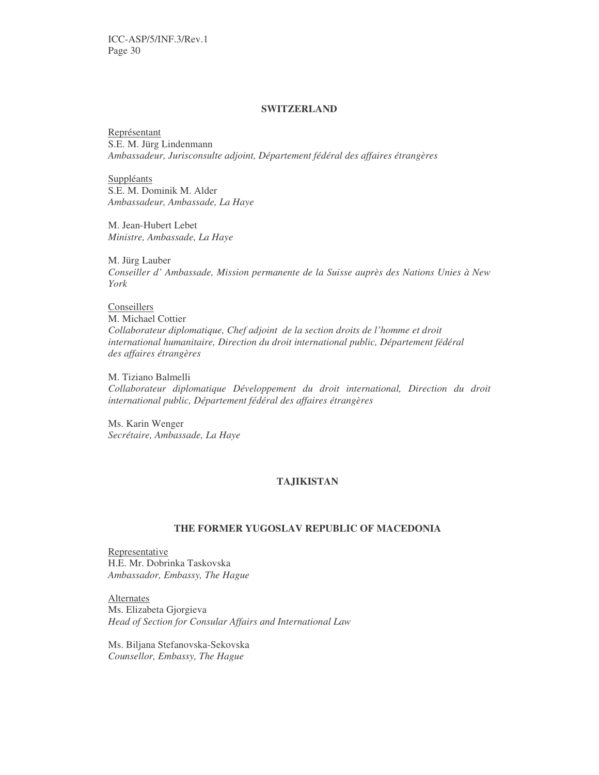#### **SWITZERLAND**

Représentant S.E. M. Jürg Lindenmann *Ambassadeur, Jurisconsulte adjoint, Département fédéral des affaires étrangères*

Suppléants S.E. M. Dominik M. Alder *Ambassadeur, Ambassade, La Haye*

M. Jean-Hubert Lebet *Ministre, Ambassade, La Haye*

M. Jürg Lauber *Conseiller d' Ambassade, Mission permanente de la Suisse auprès des Nations Unies à New York*

Conseillers M. Michael Cottier *Collaborateur diplomatique, Chef adjoint de la section droits de l'homme et droit international humanitaire, Direction du droit international public, Département fédéral des affaires étrangères*

M. Tiziano Balmelli *Collaborateur diplomatique Développement du droit international, Direction du droit international public, Département fédéral des affaires étrangères*

Ms. Karin Wenger *Secrétaire, Ambassade, La Haye*

#### **TAJIKISTAN**

# **THE FORMER YUGOSLAV REPUBLIC OF MACEDONIA**

Representative H.E. Mr. Dobrinka Taskovska *Ambassador, Embassy, The Hague*

Alternates Ms. Elizabeta Gjorgieva *Head of Section for Consular Affairs and International Law*

Ms. Biljana Stefanovska-Sekovska *Counsellor, Embassy, The Hague*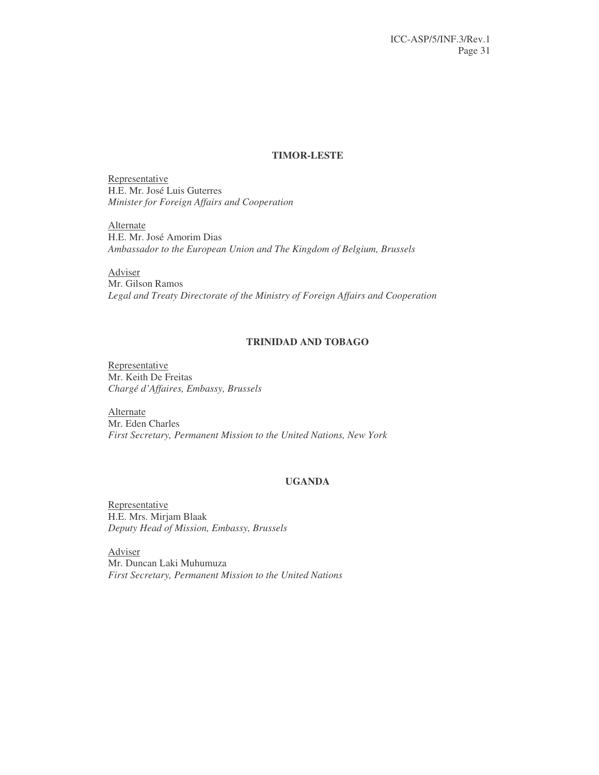# **TIMOR-LESTE**

Representative H.E. Mr. José Luis Guterres *Minister for Foreign Affairs and Cooperation*

**Alternate** H.E. Mr. José Amorim Dias *Ambassador to the European Union and The Kingdom of Belgium, Brussels*

Adviser Mr. Gilson Ramos *Legal and Treaty Directorate of the Ministry of Foreign Affairs and Cooperation*

# **TRINIDAD AND TOBAGO**

Representative Mr. Keith De Freitas *Chargé d'Affaires, Embassy, Brussels*

**Alternate** Mr. Eden Charles *First Secretary, Permanent Mission to the United Nations, New York*

# **UGANDA**

Representative H.E. Mrs. Mirjam Blaak *Deputy Head of Mission, Embassy, Brussels*

Adviser Mr. Duncan Laki Muhumuza *First Secretary, Permanent Mission to the United Nations*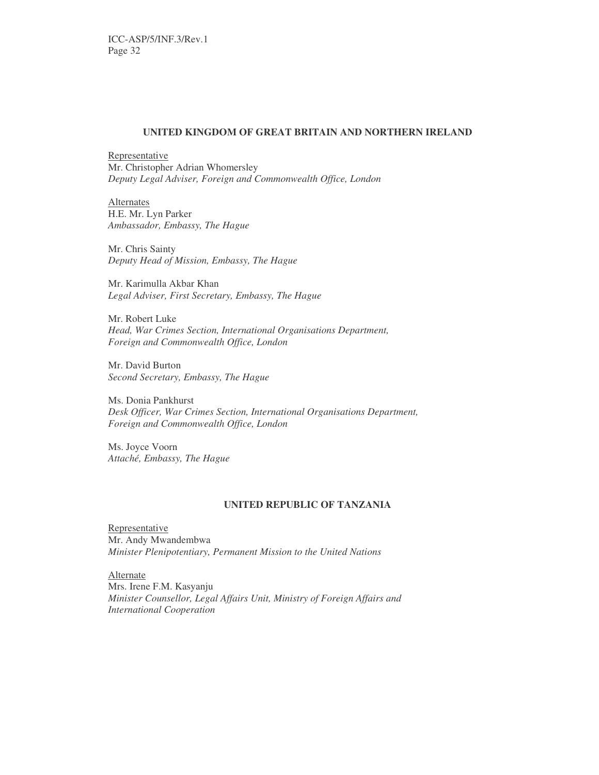#### **UNITED KINGDOM OF GREAT BRITAIN AND NORTHERN IRELAND**

Representative Mr. Christopher Adrian Whomersley *Deputy Legal Adviser, Foreign and Commonwealth Office, London*

**Alternates** H.E. Mr. Lyn Parker *Ambassador, Embassy, The Hague*

Mr. Chris Sainty *Deputy Head of Mission, Embassy, The Hague*

Mr. Karimulla Akbar Khan *Legal Adviser, First Secretary, Embassy, The Hague*

Mr. Robert Luke *Head, War Crimes Section, International Organisations Department, Foreign and Commonwealth Office, London*

Mr. David Burton *Second Secretary, Embassy, The Hague*

Ms. Donia Pankhurst *Desk Officer, War Crimes Section, International Organisations Department, Foreign and Commonwealth Office, London*

Ms. Joyce Voorn *Attaché, Embassy, The Hague*

#### **UNITED REPUBLIC OF TANZANIA**

Representative Mr. Andy Mwandembwa *Minister Plenipotentiary, Permanent Mission to the United Nations*

Alternate Mrs. Irene F.M. Kasyanju *Minister Counsellor, Legal Affairs Unit, Ministry of Foreign Affairs and International Cooperation*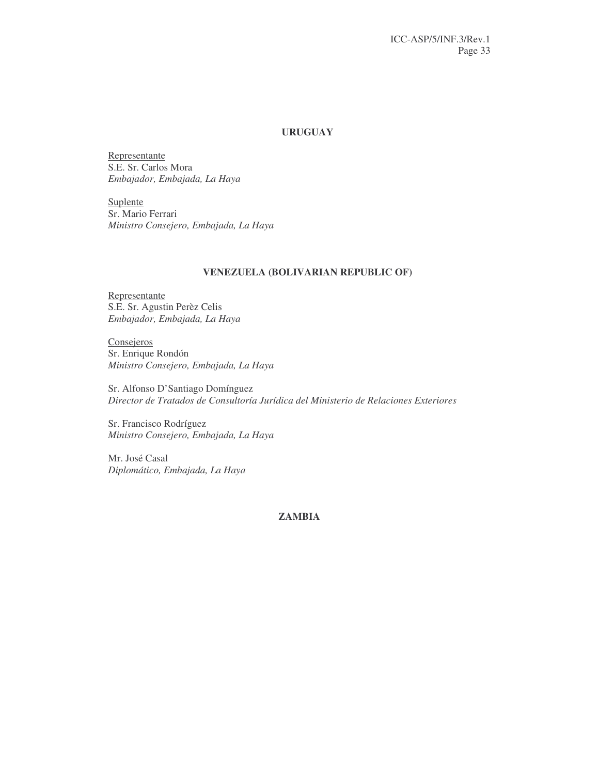# **URUGUAY**

Representante S.E. Sr. Carlos Mora *Embajador, Embajada, La Haya*

**Suplente** Sr. Mario Ferrari *Ministro Consejero, Embajada, La Haya*

# **VENEZUELA (BOLIVARIAN REPUBLIC OF)**

Representante S.E. Sr. Agustin Perèz Celis *Embajador, Embajada, La Haya*

**Consejeros** Sr. Enrique Rondón *Ministro Consejero, Embajada, La Haya*

Sr. Alfonso D'Santiago Domínguez *Director de Tratados de Consultoría Jurídica del Ministerio de Relaciones Exteriores*

Sr. Francisco Rodríguez *Ministro Consejero, Embajada, La Haya*

Mr. José Casal *Diplomático, Embajada, La Haya*

# **ZAMBIA**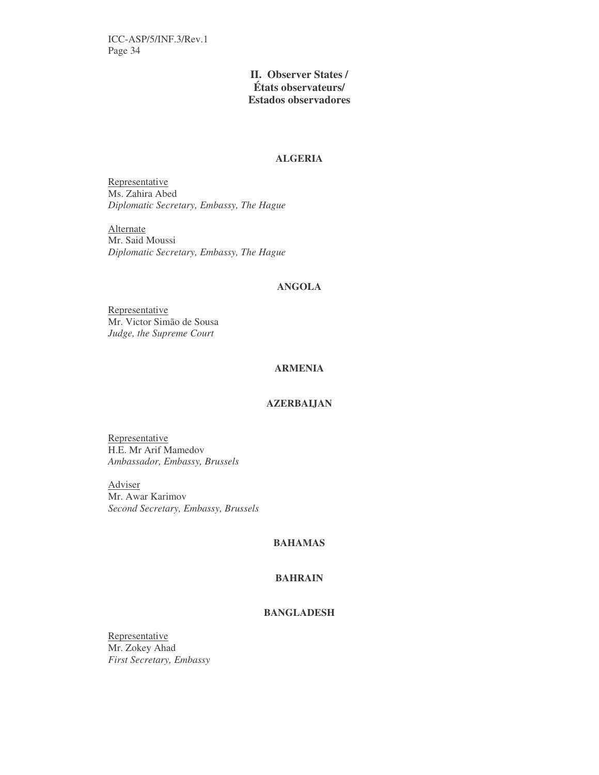# **II. Observer States / États observateurs/ Estados observadores**

# **ALGERIA**

Representative Ms. Zahira Abed *Diplomatic Secretary, Embassy, The Hague*

**Alternate** Mr. Said Moussi *Diplomatic Secretary, Embassy, The Hague*

#### **ANGOLA**

Representative Mr. Victor Simão de Sousa *Judge, the Supreme Court*

# **ARMENIA**

# **AZERBAIJAN**

Representative H.E. Mr Arif Mamedov *Ambassador, Embassy, Brussels*

Adviser Mr. Awar Karimov *Second Secretary, Embassy, Brussels*

# **BAHAMAS**

### **BAHRAIN**

# **BANGLADESH**

Representative Mr. Zokey Ahad *First Secretary, Embassy*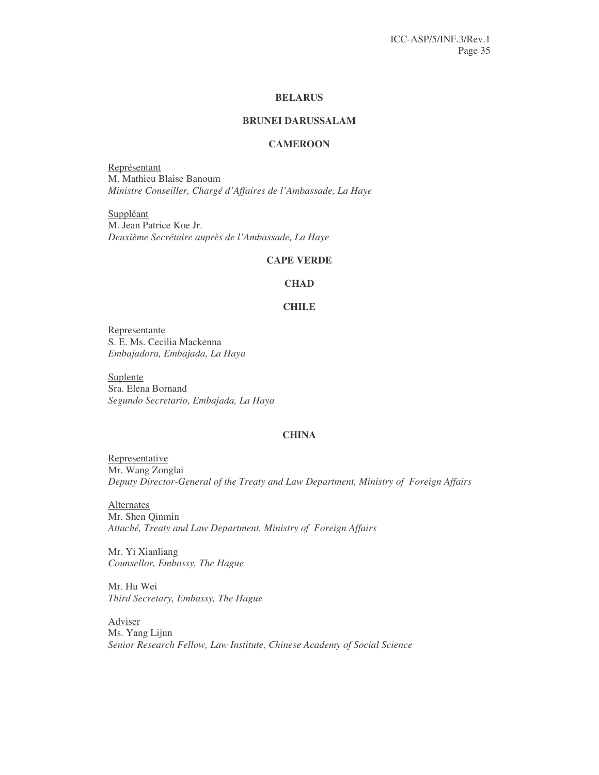## **BELARUS**

# **BRUNEI DARUSSALAM**

# **CAMEROON**

Représentant M. Mathieu Blaise Banoum *Ministre Conseiller, Chargé d'Affaires de l'Ambassade, La Haye*

Suppléant M. Jean Patrice Koe Jr. *Deuxième Secrétaire auprès de l'Ambassade, La Haye*

#### **CAPE VERDE**

#### **CHAD**

#### **CHILE**

Representante S. E. Ms. Cecilia Mackenna *Embajadora, Embajada, La Haya*

Suplente Sra. Elena Bornand *Segundo Secretario, Embajada, La Haya*

# **CHINA**

Representative Mr. Wang Zonglai *Deputy Director-General of the Treaty and Law Department, Ministry of Foreign Affairs*

**Alternates** Mr. Shen Qinmin *Attaché, Treaty and Law Department, Ministry of Foreign Affairs*

Mr. Yi Xianliang *Counsellor, Embassy, The Hague*

Mr. Hu Wei *Third Secretary, Embassy, The Hague*

Adviser Ms. Yang Lijun *Senior Research Fellow, Law Institute, Chinese Academy of Social Science*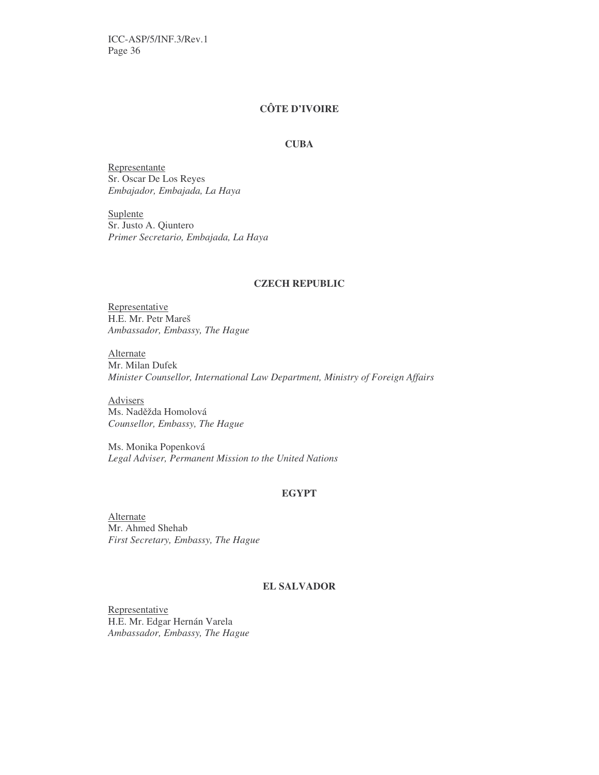# **CÔTE D'IVOIRE**

#### **CUBA**

Representante Sr. Oscar De Los Reyes *Embajador, Embajada, La Haya*

Suplente Sr. Justo A. Qiuntero *Primer Secretario, Embajada, La Haya*

# **CZECH REPUBLIC**

Representative H.E. Mr. Petr Mareš *Ambassador, Embassy, The Hague*

Alternate Mr. Milan Dufek *Minister Counsellor, International Law Department, Ministry of Foreign Affairs*

Advisers Ms. Nadžda Homolová *Counsellor, Embassy, The Hague*

Ms. Monika Popenková *Legal Adviser, Permanent Mission to the United Nations*

#### **EGYPT**

Alternate Mr. Ahmed Shehab *First Secretary, Embassy, The Hague*

# **EL SALVADOR**

Representative H.E. Mr. Edgar Hernán Varela *Ambassador, Embassy, The Hague*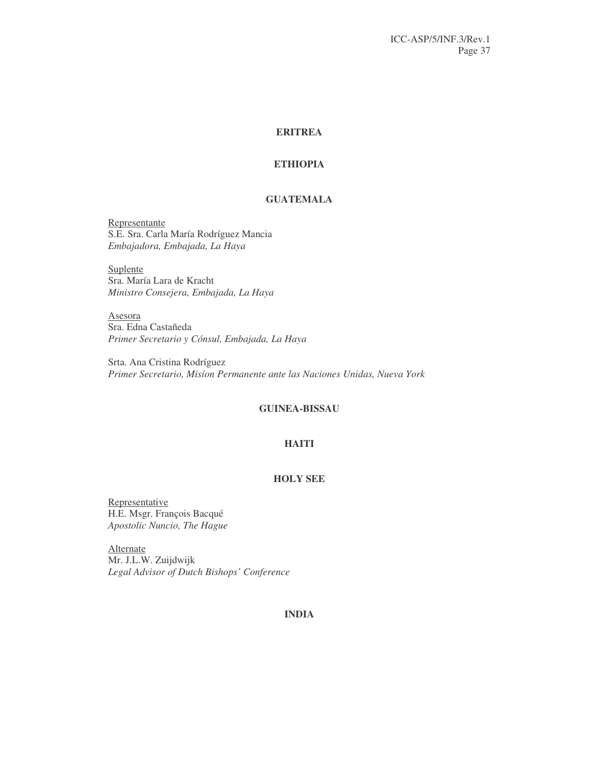# **ERITREA**

# **ETHIOPIA**

# **GUATEMALA**

Representante S.E. Sra. Carla María Rodríguez Mancia *Embajadora, Embajada, La Haya*

Suplente Sra. María Lara de Kracht *Ministro Consejera, Embajada, La Haya*

Asesora Sra. Edna Castañeda *Primer Secretario y Cónsul, Embajada, La Haya*

Srta. Ana Cristina Rodríguez *Primer Secretario, Misíon Permanente ante las Naciones Unidas, Nueva York*

# **GUINEA-BISSAU**

# **HAITI**

# **HOLY SEE**

Representative H.E. Msgr. François Bacqué *Apostolic Nuncio, The Hague*

**Alternate** Mr. J.L.W. Zuijdwijk *Legal Advisor of Dutch Bishops' Conference*

# **INDIA**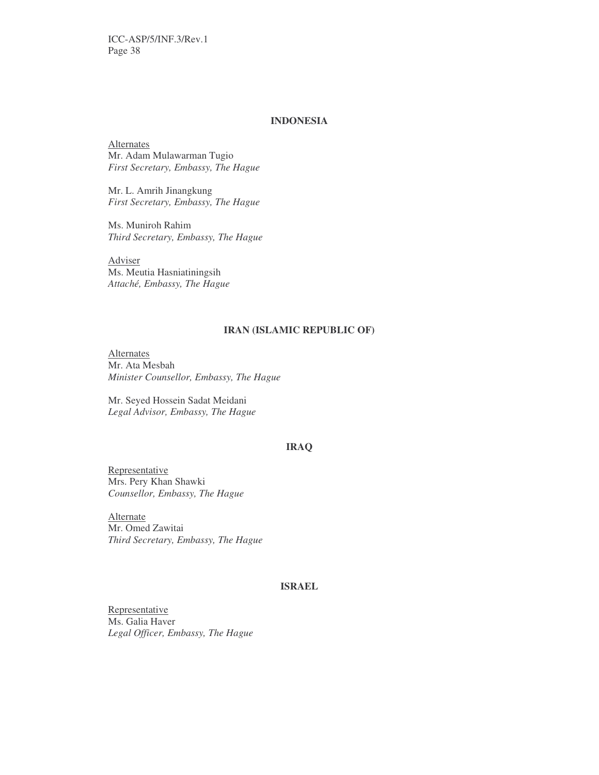# **INDONESIA**

**Alternates** Mr. Adam Mulawarman Tugio *First Secretary, Embassy, The Hague*

Mr. L. Amrih Jinangkung *First Secretary, Embassy, The Hague*

Ms. Muniroh Rahim *Third Secretary, Embassy, The Hague*

Adviser Ms. Meutia Hasniatiningsih *Attaché, Embassy, The Hague*

#### **IRAN (ISLAMIC REPUBLIC OF)**

**Alternates** Mr. Ata Mesbah *Minister Counsellor, Embassy, The Hague*

Mr. Seyed Hossein Sadat Meidani *Legal Advisor, Embassy, The Hague*

# **IRAQ**

**Representative** Mrs. Pery Khan Shawki *Counsellor, Embassy, The Hague*

Alternate Mr. Omed Zawitai *Third Secretary, Embassy, The Hague*

#### **ISRAEL**

Representative Ms. Galia Haver *Legal Officer, Embassy, The Hague*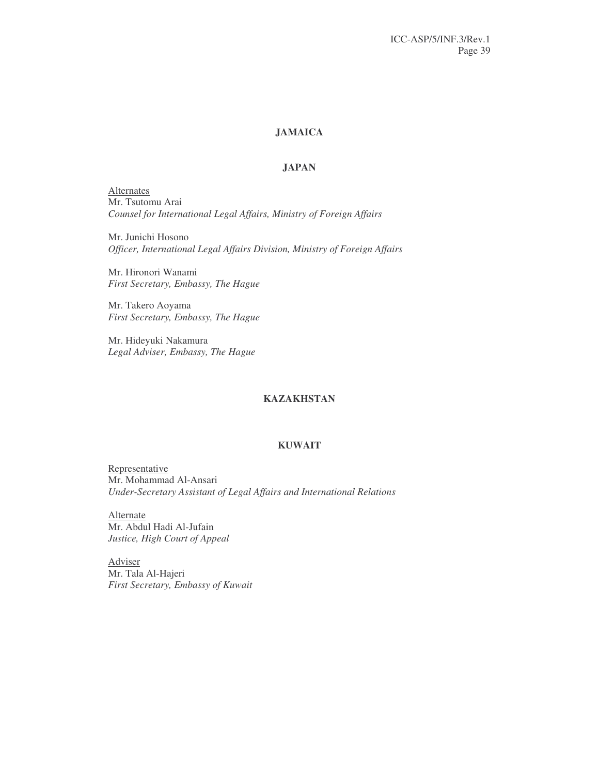# **JAMAICA**

# **JAPAN**

**Alternates** Mr. Tsutomu Arai *Counsel for International Legal Affairs, Ministry of Foreign Affairs*

Mr. Junichi Hosono *Officer, International Legal Affairs Division, Ministry of Foreign Affairs*

Mr. Hironori Wanami *First Secretary, Embassy, The Hague*

Mr. Takero Aoyama *First Secretary, Embassy, The Hague*

Mr. Hideyuki Nakamura *Legal Adviser, Embassy, The Hague*

# **KAZAKHSTAN**

#### **KUWAIT**

Representative Mr. Mohammad Al-Ansari *Under-Secretary Assistant of Legal Affairs and International Relations*

Alternate Mr. Abdul Hadi Al-Jufain *Justice, High Court of Appeal*

Adviser Mr. Tala Al-Hajeri *First Secretary, Embassy of Kuwait*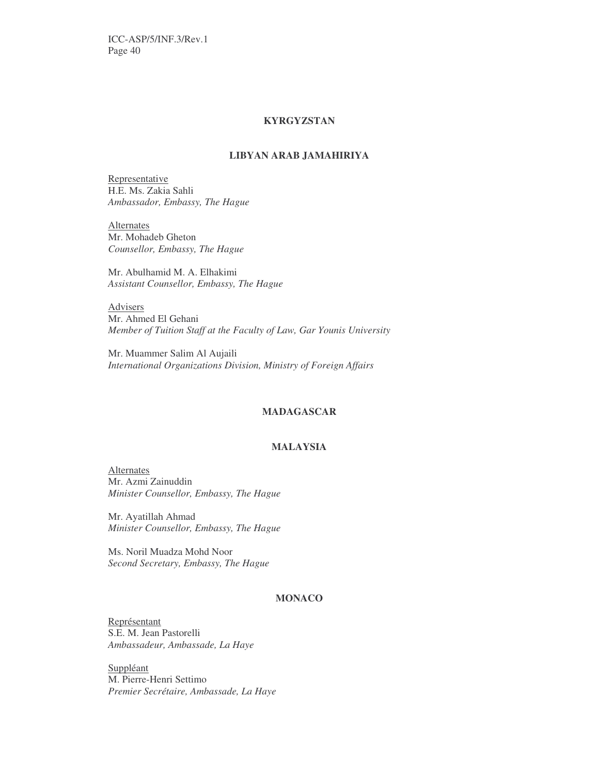# **KYRGYZSTAN**

# **LIBYAN ARAB JAMAHIRIYA**

Representative H.E. Ms. Zakia Sahli *Ambassador, Embassy, The Hague*

**Alternates** Mr. Mohadeb Gheton *Counsellor, Embassy, The Hague*

Mr. Abulhamid M. A. Elhakimi *Assistant Counsellor, Embassy, The Hague*

Advisers Mr. Ahmed El Gehani *Member of Tuition Staff at the Faculty of Law, Gar Younis University*

Mr. Muammer Salim Al Aujaili *International Organizations Division, Ministry of Foreign Affairs*

# **MADAGASCAR**

# **MALAYSIA**

**Alternates** Mr. Azmi Zainuddin *Minister Counsellor, Embassy, The Hague*

Mr. Ayatillah Ahmad *Minister Counsellor, Embassy, The Hague*

Ms. Noril Muadza Mohd Noor *Second Secretary, Embassy, The Hague*

# **MONACO**

Représentant S.E. M. Jean Pastorelli *Ambassadeur, Ambassade, La Haye*

Suppléant M. Pierre-Henri Settimo *Premier Secrétaire, Ambassade, La Haye*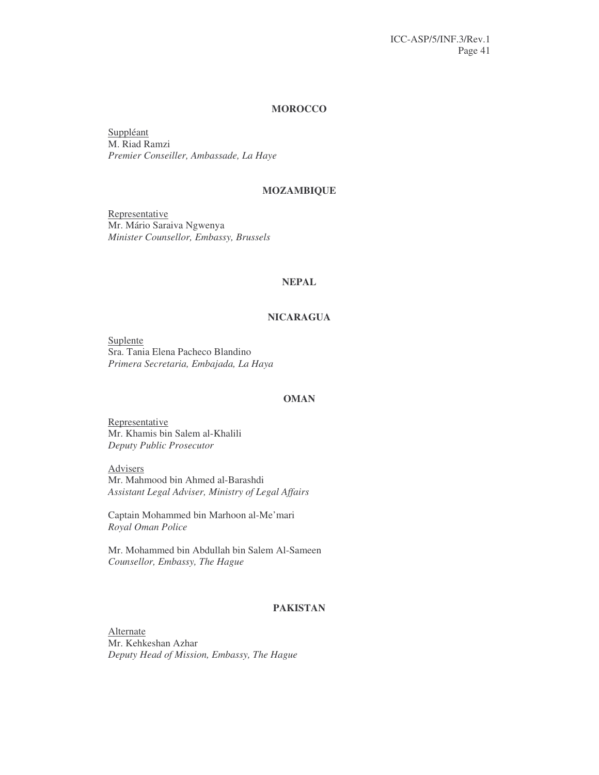#### **MOROCCO**

Suppléant M. Riad Ramzi *Premier Conseiller, Ambassade, La Haye*

#### **MOZAMBIQUE**

Representative Mr. Mário Saraiva Ngwenya *Minister Counsellor, Embassy, Brussels*

#### **NEPAL**

# **NICARAGUA**

Suplente Sra. Tania Elena Pacheco Blandino *Primera Secretaria, Embajada, La Haya*

# **OMAN**

Representative Mr. Khamis bin Salem al-Khalili *Deputy Public Prosecutor*

Advisers Mr. Mahmood bin Ahmed al-Barashdi *Assistant Legal Adviser, Ministry of Legal Affairs*

Captain Mohammed bin Marhoon al-Me'mari *Royal Oman Police*

Mr. Mohammed bin Abdullah bin Salem Al-Sameen *Counsellor, Embassy, The Hague*

# **PAKISTAN**

Alternate Mr. Kehkeshan Azhar *Deputy Head of Mission, Embassy, The Hague*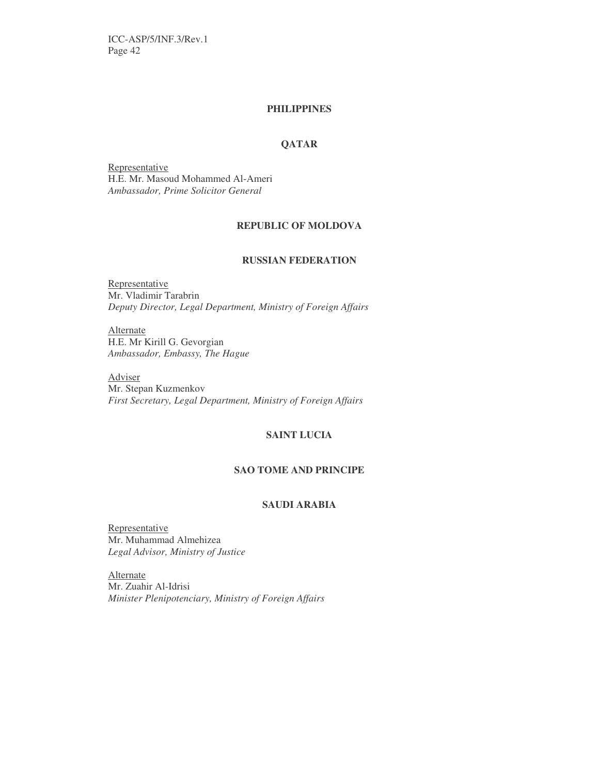# **PHILIPPINES**

# **QATAR**

Representative H.E. Mr. Masoud Mohammed Al-Ameri *Ambassador, Prime Solicitor General*

# **REPUBLIC OF MOLDOVA**

# **RUSSIAN FEDERATION**

Representative Mr. Vladimir Tarabrin *Deputy Director, Legal Department, Ministry of Foreign Affairs*

**Alternate** H.E. Mr Kirill G. Gevorgian *Ambassador, Embassy, The Hague*

Adviser Mr. Stepan Kuzmenkov *First Secretary, Legal Department, Ministry of Foreign Affairs*

# **SAINT LUCIA**

# **SAO TOME AND PRINCIPE**

# **SAUDI ARABIA**

Representative Mr. Muhammad Almehizea *Legal Advisor, Ministry of Justice*

Alternate Mr. Zuahir Al-Idrisi *Minister Plenipotenciary, Ministry of Foreign Affairs*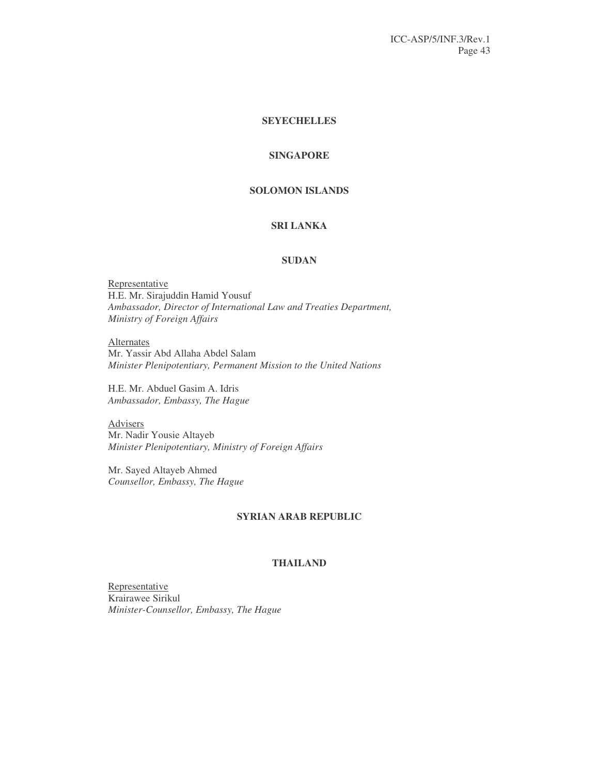# **SEYECHELLES**

# **SINGAPORE**

# **SOLOMON ISLANDS**

# **SRI LANKA**

# **SUDAN**

Representative H.E. Mr. Sirajuddin Hamid Yousuf *Ambassador, Director of International Law and Treaties Department, Ministry of Foreign Affairs*

Alternates Mr. Yassir Abd Allaha Abdel Salam *Minister Plenipotentiary, Permanent Mission to the United Nations*

H.E. Mr. Abduel Gasim A. Idris *Ambassador, Embassy, The Hague*

**Advisers** Mr. Nadir Yousie Altayeb *Minister Plenipotentiary, Ministry of Foreign Affairs*

Mr. Sayed Altayeb Ahmed *Counsellor, Embassy, The Hague*

# **SYRIAN ARAB REPUBLIC**

#### **THAILAND**

Representative Krairawee Sirikul *Minister-Counsellor, Embassy, The Hague*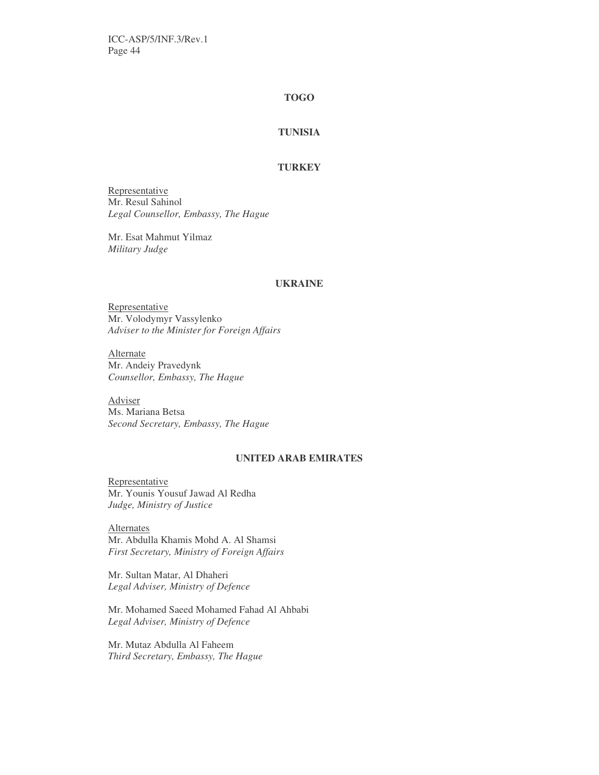# **TOGO**

# **TUNISIA**

# **TURKEY**

Representative Mr. Resul Sahinol *Legal Counsellor, Embassy, The Hague*

Mr. Esat Mahmut Yilmaz *Military Judge*

# **UKRAINE**

Representative Mr. Volodymyr Vassylenko *Adviser to the Minister for Foreign Affairs*

Alternate Mr. Andeiy Pravedynk *Counsellor, Embassy, The Hague*

Adviser Ms. Mariana Betsa *Second Secretary, Embassy, The Hague*

# **UNITED ARAB EMIRATES**

Representative Mr. Younis Yousuf Jawad Al Redha *Judge, Ministry of Justice*

**Alternates** Mr. Abdulla Khamis Mohd A. Al Shamsi *First Secretary, Ministry of Foreign Affairs*

Mr. Sultan Matar, Al Dhaheri *Legal Adviser, Ministry of Defence*

Mr. Mohamed Saeed Mohamed Fahad Al Ahbabi *Legal Adviser, Ministry of Defence*

Mr. Mutaz Abdulla Al Faheem *Third Secretary, Embassy, The Hague*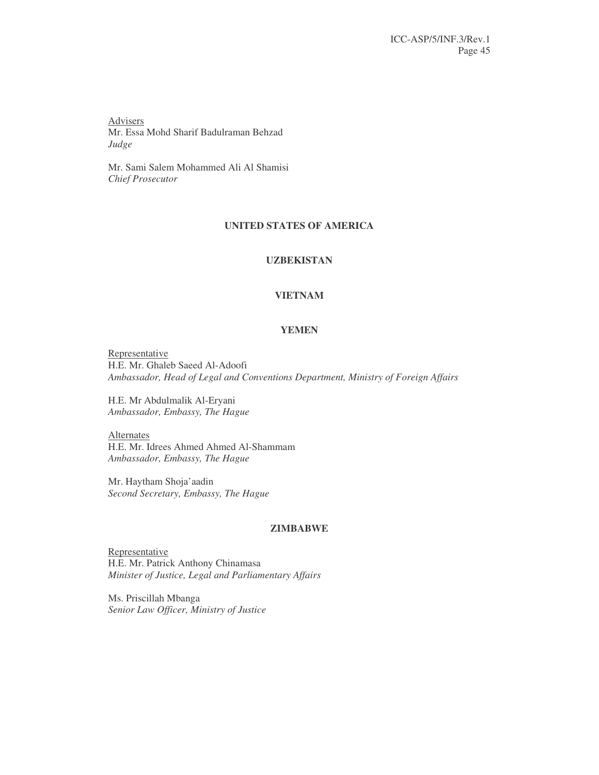Advisers Mr. Essa Mohd Sharif Badulraman Behzad *Judge*

Mr. Sami Salem Mohammed Ali Al Shamisi *Chief Prosecutor*

# **UNITED STATES OF AMERICA**

# **UZBEKISTAN**

#### **VIETNAM**

#### **YEMEN**

Representative H.E. Mr. Ghaleb Saeed Al-Adoofi *Ambassador, Head of Legal and Conventions Department, Ministry of Foreign Affairs*

H.E. Mr Abdulmalik Al-Eryani *Ambassador, Embassy, The Hague*

Alternates H.E. Mr. Idrees Ahmed Ahmed Al-Shammam *Ambassador, Embassy, The Hague*

Mr. Haytham Shoja'aadin *Second Secretary, Embassy, The Hague*

# **ZIMBABWE**

Representative H.E. Mr. Patrick Anthony Chinamasa *Minister of Justice, Legal and Parliamentary Affairs*

Ms. Priscillah Mbanga *Senior Law Officer, Ministry of Justice*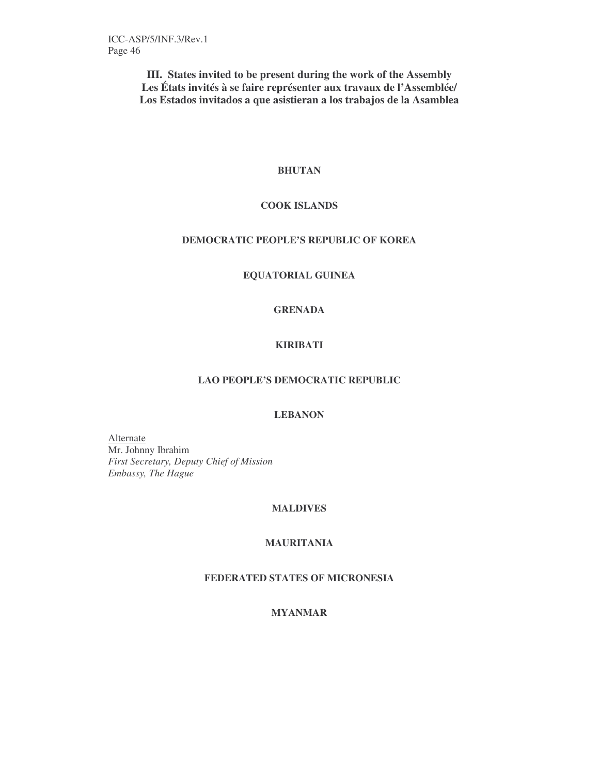**III. States invited to be present during the work of the Assembly Les États invités à se faire représenter aux travaux de l'Assemblée/ Los Estados invitados a que asistieran a los trabajos de la Asamblea**

# **BHUTAN**

# **COOK ISLANDS**

# **DEMOCRATIC PEOPLE'S REPUBLIC OF KOREA**

# **EQUATORIAL GUINEA**

# **GRENADA**

# **KIRIBATI**

# **LAO PEOPLE'S DEMOCRATIC REPUBLIC**

# **LEBANON**

Alternate Mr. Johnny Ibrahim *First Secretary, Deputy Chief of Mission Embassy, The Hague*

# **MALDIVES**

# **MAURITANIA**

# **FEDERATED STATES OF MICRONESIA**

# **MYANMAR**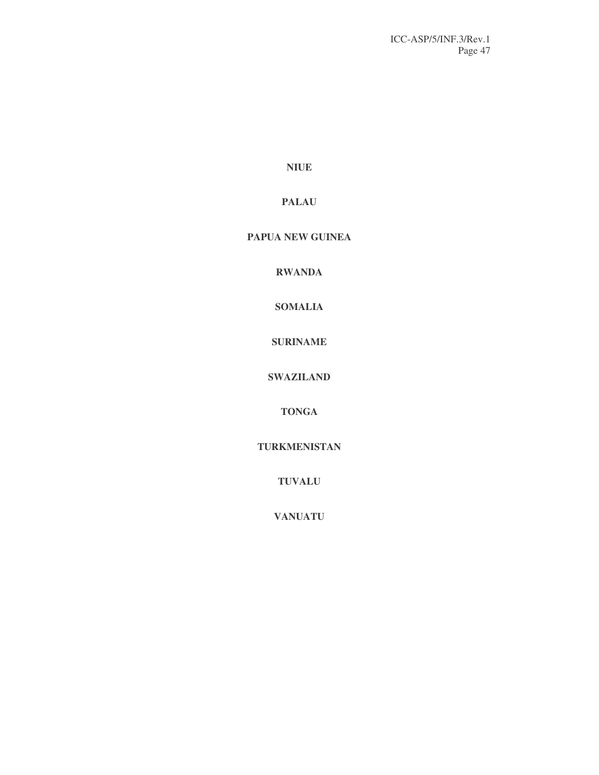**NIUE**

# **PALAU**

# **PAPUA NEW GUINEA**

**RWANDA**

**SOMALIA**

**SURINAME**

**SWAZILAND**

**TONGA**

**TURKMENISTAN**

**TUVALU**

**VANUATU**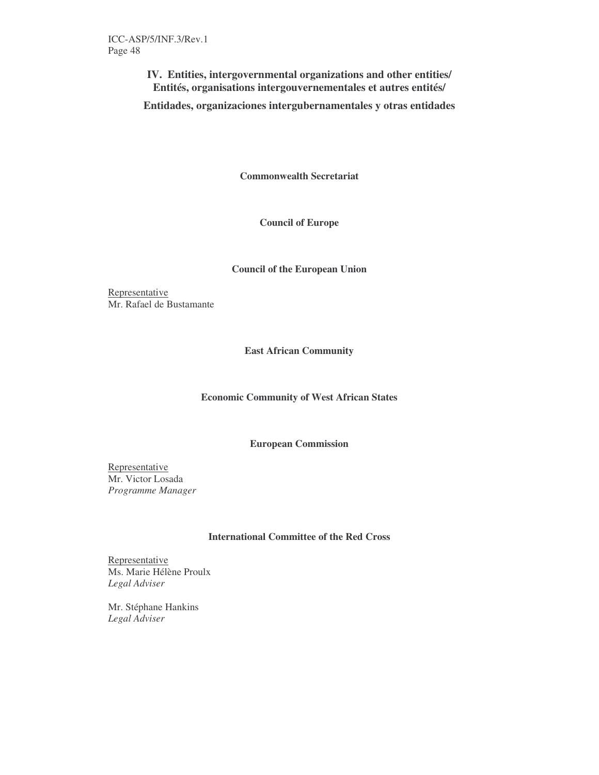**IV. Entities, intergovernmental organizations and other entities/ Entités, organisations intergouvernementales et autres entités/**

**Entidades, organizaciones intergubernamentales y otras entidades**

**Commonwealth Secretariat**

**Council of Europe**

# **Council of the European Union**

Representative Mr. Rafael de Bustamante

**East African Community**

# **Economic Community of West African States**

**European Commission**

Representative Mr. Victor Losada *Programme Manager*

#### **International Committee of the Red Cross**

Representative Ms. Marie Hélène Proulx *Legal Adviser*

Mr. Stéphane Hankins *Legal Adviser*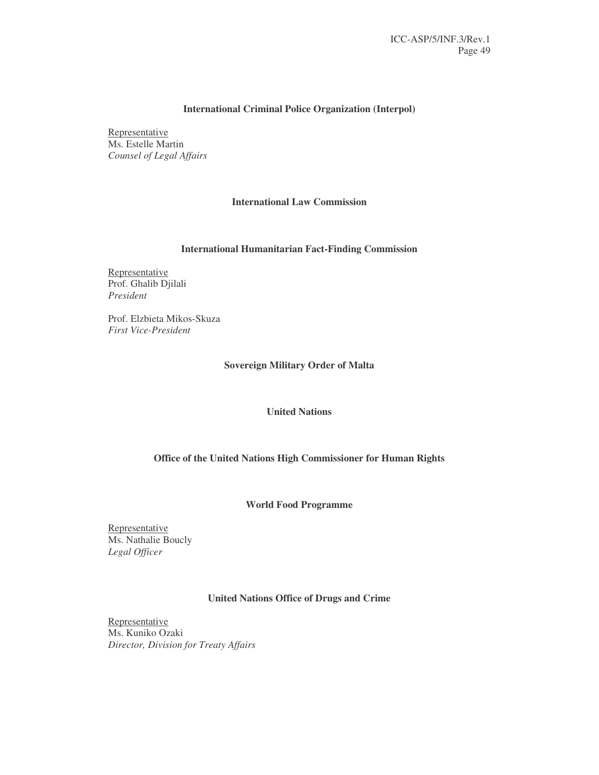# **International Criminal Police Organization (Interpol)**

Representative Ms. Estelle Martin *Counsel of Legal Affairs*

# **International Law Commission**

# **International Humanitarian Fact-Finding Commission**

**Representative** Prof. Ghalib Djilali *President*

Prof. Elzbieta Mikos-Skuza *First Vice-President*

# **Sovereign Military Order of Malta**

#### **United Nations**

## **Office of the United Nations High Commissioner for Human Rights**

#### **World Food Programme**

Representative Ms. Nathalie Boucly *Legal Officer*

# **United Nations Office of Drugs and Crime**

Representative Ms. Kuniko Ozaki *Director, Division for Treaty Affairs*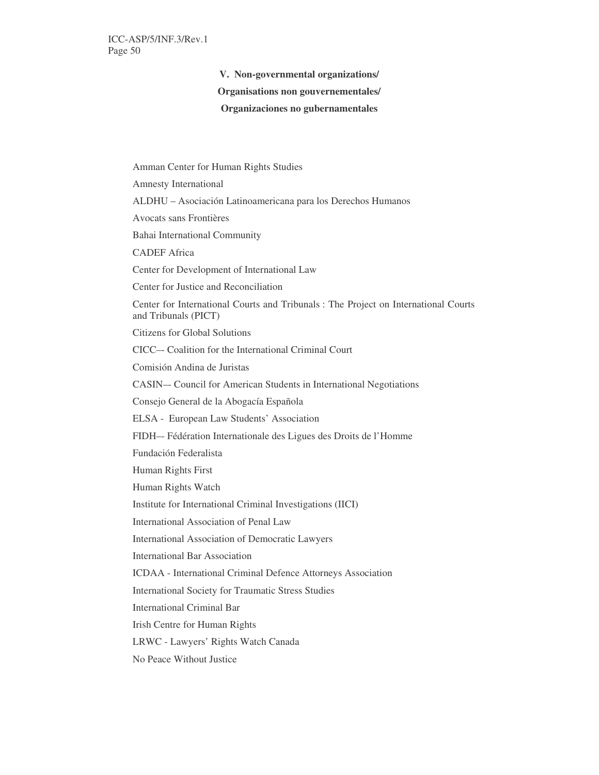**V. Non-governmental organizations/**

#### **Organisations non gouvernementales/**

#### **Organizaciones no gubernamentales**

Amman Center for Human Rights Studies Amnesty International ALDHU – Asociación Latinoamericana para los Derechos Humanos Avocats sans Frontières Bahai International Community CADEF Africa Center for Development of International Law Center for Justice and Reconciliation Center for International Courts and Tribunals : The Project on International Courts and Tribunals (PICT) Citizens for Global Solutions CICC–- Coalition for the International Criminal Court Comisión Andina de Juristas CASIN–- Council for American Students in International Negotiations Consejo General de la Abogacía Española ELSA - European Law Students' Association FIDH–- Fédération Internationale des Ligues des Droits de l'Homme Fundación Federalista Human Rights First Human Rights Watch Institute for International Criminal Investigations (IICI) International Association of Penal Law International Association of Democratic Lawyers International Bar Association ICDAA - International Criminal Defence Attorneys Association International Society for Traumatic Stress Studies International Criminal Bar Irish Centre for Human Rights LRWC - Lawyers' Rights Watch Canada No Peace Without Justice